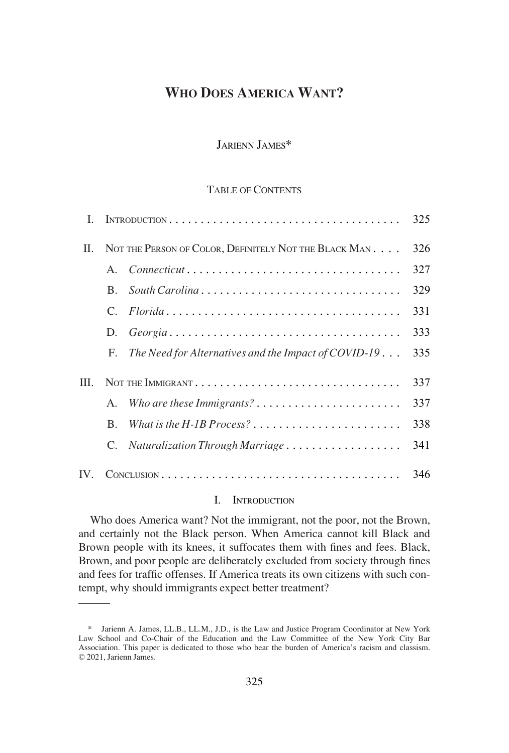# **WHO DOES AMERICA WANT?**

## JARIENN JAMES\*

### TABLE OF CONTENTS

| L    |                                                        |                                                                                               | 325 |
|------|--------------------------------------------------------|-----------------------------------------------------------------------------------------------|-----|
| II.  | NOT THE PERSON OF COLOR, DEFINITELY NOT THE BLACK MAN. |                                                                                               | 326 |
|      |                                                        |                                                                                               | 327 |
|      | B.                                                     | South Carolina                                                                                | 329 |
|      |                                                        |                                                                                               | 331 |
|      | D.                                                     | $Georgia \ldots \ldots \ldots \ldots \ldots \ldots \ldots \ldots \ldots \ldots \ldots \ldots$ | 333 |
|      | F.                                                     | The Need for Alternatives and the Impact of COVID-19                                          | 335 |
| III. |                                                        |                                                                                               | 337 |
|      | A.                                                     |                                                                                               | 337 |
|      | B.                                                     |                                                                                               | 338 |
|      |                                                        | C. Naturalization Through Marriage                                                            | 341 |
| IV.  |                                                        |                                                                                               | 346 |

#### I. INTRODUCTION

Who does America want? Not the immigrant, not the poor, not the Brown, and certainly not the Black person. When America cannot kill Black and Brown people with its knees, it suffocates them with fines and fees. Black, Brown, and poor people are deliberately excluded from society through fines and fees for traffic offenses. If America treats its own citizens with such contempt, why should immigrants expect better treatment?

<sup>\*</sup> Jarienn A. James, LL.B., LL.M., J.D., is the Law and Justice Program Coordinator at New York Law School and Co-Chair of the Education and the Law Committee of the New York City Bar Association. This paper is dedicated to those who bear the burden of America's racism and classism. © 2021, Jarienn James.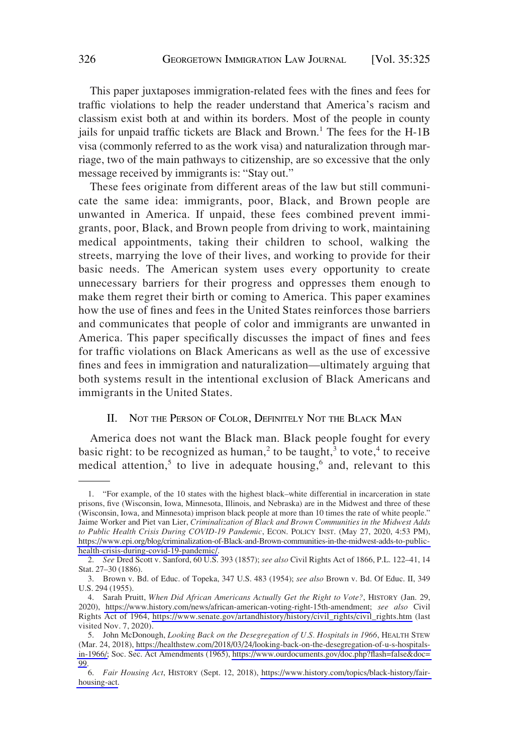<span id="page-1-0"></span>This paper juxtaposes immigration-related fees with the fines and fees for traffic violations to help the reader understand that America's racism and classism exist both at and within its borders. Most of the people in county jails for unpaid traffic tickets are Black and Brown.<sup>1</sup> The fees for the H-1B visa (commonly referred to as the work visa) and naturalization through marriage, two of the main pathways to citizenship, are so excessive that the only message received by immigrants is: "Stay out."

These fees originate from different areas of the law but still communicate the same idea: immigrants, poor, Black, and Brown people are unwanted in America. If unpaid, these fees combined prevent immigrants, poor, Black, and Brown people from driving to work, maintaining medical appointments, taking their children to school, walking the streets, marrying the love of their lives, and working to provide for their basic needs. The American system uses every opportunity to create unnecessary barriers for their progress and oppresses them enough to make them regret their birth or coming to America. This paper examines how the use of fines and fees in the United States reinforces those barriers and communicates that people of color and immigrants are unwanted in America. This paper specifically discusses the impact of fines and fees for traffic violations on Black Americans as well as the use of excessive fines and fees in immigration and naturalization—ultimately arguing that both systems result in the intentional exclusion of Black Americans and immigrants in the United States.

### II. NOT THE PERSON OF COLOR, DEFINITELY NOT THE BLACK MAN

America does not want the Black man. Black people fought for every basic right: to be recognized as human,<sup>2</sup> to be taught,<sup>3</sup> to vote,<sup>4</sup> to receive medical attention,<sup>5</sup> to live in adequate housing,<sup>6</sup> and, relevant to this

<sup>1.</sup> "For example, of the 10 states with the highest black–white differential in incarceration in state prisons, five (Wisconsin, Iowa, Minnesota, Illinois, and Nebraska) are in the Midwest and three of these (Wisconsin, Iowa, and Minnesota) imprison black people at more than 10 times the rate of white people." Jaime Worker and Piet van Lier, *Criminalization of Black and Brown Communities in the Midwest Adds to Public Health Crisis During COVID-19 Pandemic*, ECON. POLICY INST. (May 27, 2020, 4:53 PM), [https://www.epi.org/blog/criminalization-of-Black-and-Brown-communities-in-the-midwest-adds-to-public](http://www.epi.org/blog/criminalization-of-Black-and-Brown-communities-in-the-midwest-adds-to-public-health-crisis-during-covid-19-pandemic/)[health-crisis-during-covid-19-pandemic/.](http://www.epi.org/blog/criminalization-of-Black-and-Brown-communities-in-the-midwest-adds-to-public-health-crisis-during-covid-19-pandemic/)

<sup>2.</sup> *See* Dred Scott v. Sanford, 60 U.S. 393 (1857); *see also* Civil Rights Act of 1866, P.L. 122–41, 14 Stat. 27–30 (1886).

<sup>3.</sup> Brown v. Bd. of Educ. of Topeka, 347 U.S. 483 (1954); *see also* Brown v. Bd. Of Educ. II, 349 U.S. 294 (1955).

<sup>4.</sup> Sarah Pruitt, *When Did African Americans Actually Get the Right to Vote?*, HISTORY (Jan. 29, 2020), [https://www.history.com/news/african-american-voting-right-15th-amendment;](http://www.history.com/news/african-american-voting-right-15th-amendment) *see also* Civil Rights Act of 1964, [https://www.senate.gov/artandhistory/history/civil\\_rights/civil\\_rights.htm](http://www.senate.gov/artandhistory/history/civil_rights/civil_rights.htm) (last visited Nov. 7, 2020).

<sup>5.</sup> John McDonough, *Looking Back on the Desegregation of U.S. Hospitals in 1966*, HEALTH STEW (Mar. 24, 2018), [https://healthstew.com/2018/03/24/looking-back-on-the-desegregation-of-u-s-hospitals](http://healthstew.com/2018/03/24/looking-back-on-the-desegregation-of-u-s-hospitals-in-1966/)[in-1966/;](http://healthstew.com/2018/03/24/looking-back-on-the-desegregation-of-u-s-hospitals-in-1966/) Soc. Sec. Act Amendments (1965), [https://www.ourdocuments.gov/doc.php?flash=false&doc=](http://www.ourdocuments.gov/doc.php?flash=false&doc=99)  [99](http://www.ourdocuments.gov/doc.php?flash=false&doc=99).

<sup>6.</sup> *Fair Housing Act*, HISTORY (Sept. 12, 2018), [https://www.history.com/topics/black-history/fair](http://www.history.com/topics/black-history/fair-housing-act)[housing-act.](http://www.history.com/topics/black-history/fair-housing-act)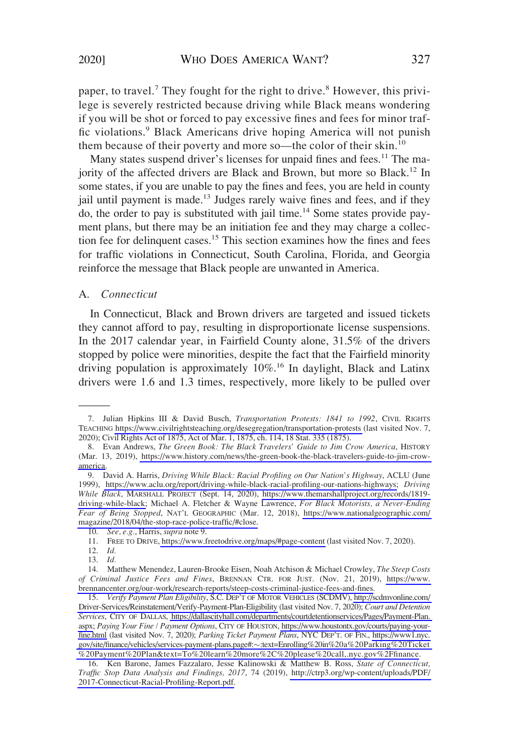<span id="page-2-0"></span>paper, to travel.<sup>7</sup> They fought for the right to drive.<sup>8</sup> However, this privilege is severely restricted because driving while Black means wondering if you will be shot or forced to pay excessive fines and fees for minor traffic violations.<sup>9</sup> Black Americans drive hoping America will not punish them because of their poverty and more so—the color of their skin.<sup>10</sup>

Many states suspend driver's licenses for unpaid fines and fees.<sup>11</sup> The majority of the affected drivers are Black and Brown, but more so Black.<sup>12</sup> In some states, if you are unable to pay the fines and fees, you are held in county jail until payment is made.<sup>13</sup> Judges rarely waive fines and fees, and if they do, the order to pay is substituted with jail time.<sup>14</sup> Some states provide payment plans, but there may be an initiation fee and they may charge a collection fee for delinquent cases.<sup>15</sup> This section examines how the fines and fees for traffic violations in Connecticut, South Carolina, Florida, and Georgia reinforce the message that Black people are unwanted in America.

## A. *Connecticut*

In Connecticut, Black and Brown drivers are targeted and issued tickets they cannot afford to pay, resulting in disproportionate license suspensions. In the 2017 calendar year, in Fairfield County alone, 31.5% of the drivers stopped by police were minorities, despite the fact that the Fairfield minority driving population is approximately 10%.<sup>16</sup> In daylight, Black and Latinx drivers were 1.6 and 1.3 times, respectively, more likely to be pulled over

10. *See, e.g.*, Harris, *supra* note 9.

12. *Id.* 

<sup>7.</sup> Julian Hipkins III & David Busch, *Transportation Protests: 1841 to 1992*, CIVIL RIGHTS TEACHING [https://www.civilrightsteaching.org/desegregation/transportation-protests](http://www.civilrightsteaching.org/desegregation/transportation-protests) (last visited Nov. 7, 2020); Civil Rights Act of 1875, Act of Mar. 1, 1875, ch. 114, 18 Stat. 335 (1875).

<sup>8.</sup> Evan Andrews, *The Green Book: The Black Travelers' Guide to Jim Crow America*, HISTORY (Mar. 13, 2019), [https://www.history.com/news/the-green-book-the-black-travelers-guide-to-jim-crow](https://www.history.com/news/the-green-book-the-black-travelers-guide-to-jim-crow-america)[america.](https://www.history.com/news/the-green-book-the-black-travelers-guide-to-jim-crow-america)

<sup>9.</sup> David A. Harris, *Driving While Black: Racial Profiling on Our Nation's Highway*, ACLU (June 1999), [https://www.aclu.org/report/driving-while-black-racial-profiling-our-nations-highways;](http://www.aclu.org/report/driving-while-black-racial-profiling-our-nations-highways) *Driving While Black*, MARSHALL PROJECT (Sept. 14, 2020), [https://www.themarshallproject.org/records/1819](http://www.themarshallproject.org/records/1819-driving-while-black) [driving-while-black;](http://www.themarshallproject.org/records/1819-driving-while-black) Michael A. Fletcher & Wayne Lawrence, *For Black Motorists, a Never-Ending Fear of Being Stopped*, NAT'L GEOGRAPHIC (Mar. 12, 2018), [https://www.nationalgeographic.com/](http://www.nationalgeographic.com/magazine/2018/04/the-stop-race-police-traffic/#close)  [magazine/2018/04/the-stop-race-police-traffic/#close.](http://www.nationalgeographic.com/magazine/2018/04/the-stop-race-police-traffic/#close)

<sup>11.</sup> FREE TO DRIVE,<https://www.freetodrive.org/maps/#page-content>(last visited Nov. 7, 2020).

<sup>13.</sup> *Id.* 

<sup>14.</sup> Matthew Menendez, Lauren-Brooke Eisen, Noah Atchison & Michael Crowley, *The Steep Costs of Criminal Justice Fees and Fines*, BRENNAN CTR. FOR JUST. (Nov. 21, 2019), [https://www.](http://www.brennancenter.org/our-work/research-reports/steep-costs-criminal-justice-fees-and-fines)  [brennancenter.org/our-work/research-reports/steep-costs-criminal-justice-fees-and-fines.](http://www.brennancenter.org/our-work/research-reports/steep-costs-criminal-justice-fees-and-fines)

<sup>15.</sup> *Verify Payment Plan Eligibility*, S.C. DEP'T OF MOTOR VEHICLES (SCDMV), [http://scdmvonline.com/](http://www.scdmvonline.com/Driver-Services/Reinstatement/Verify-Payment-Plan-Eligibility)  [Driver-Services/Reinstatement/Verify-Payment-Plan-Eligibility](http://www.scdmvonline.com/Driver-Services/Reinstatement/Verify-Payment-Plan-Eligibility) (last visited Nov. 7, 2020); *Court and Detention Services*, CITY OF DALLAS, [https://dallascityhall.com/departments/courtdetentionservices/Pages/Payment-Plan.](http://www.dallascityhall.com/departments/courtdetentionservices/Pages/Payment-Plan.aspx)  [aspx;](http://www.dallascityhall.com/departments/courtdetentionservices/Pages/Payment-Plan.aspx) *Paying Your Fine / Payment Options*, CITY OF HOUSTON, [https://www.houstontx.gov/courts/paying-your](https://www.houstontx.gov/courts/paying-your-fine.html)[fine.html](https://www.houstontx.gov/courts/paying-your-fine.html) (last visited Nov. 7, 2020); *Parking Ticket Payment Plans*, NYC DEP'T. OF FIN., [https://www1.nyc.](http://www1.nyc.gov/site/finance/vehicles/services-payment-plans.page#:%E2%88%BC:text=Enrolling%20in%20a%20Parking%20Ticket%20Payment%20Plan&text=To%20learn%20more,%20please%20call,.nyc.gov/finance)  [gov/site/finance/vehicles/services-payment-plans.page#:](http://www1.nyc.gov/site/finance/vehicles/services-payment-plans.page#:%E2%88%BC:text=Enrolling%20in%20a%20Parking%20Ticket%20Payment%20Plan&text=To%20learn%20more%2C%20please%20call,.nyc.gov%2Ffinance)�:text=Enrolling%20in%20a%20Parking%20Ticket [%20Payment%20Plan&text=To%20learn%20more%2C%20please%20call,.nyc.gov%2Ffinance](http://www1.nyc.gov/site/finance/vehicles/services-payment-plans.page#:%E2%88%BC:text=Enrolling%20in%20a%20Parking%20Ticket%20Payment%20Plan&text=To%20learn%20more%2C%20please%20call,.nyc.gov%2Ffinance).

<sup>16.</sup> Ken Barone, James Fazzalaro, Jesse Kalinowski & Matthew B. Ross, *State of Connecticut, Traffic Stop Data Analysis and Findings, 2017*, 74 (2019), [http://ctrp3.org/wp-content/uploads/PDF/](http://www.ctrp3.org/wp-content/uploads/PDF/2017-Connecticut-Racial-Profiling-Report.pdf)  [2017-Connecticut-Racial-Profiling-Report.pdf.](http://www.ctrp3.org/wp-content/uploads/PDF/2017-Connecticut-Racial-Profiling-Report.pdf)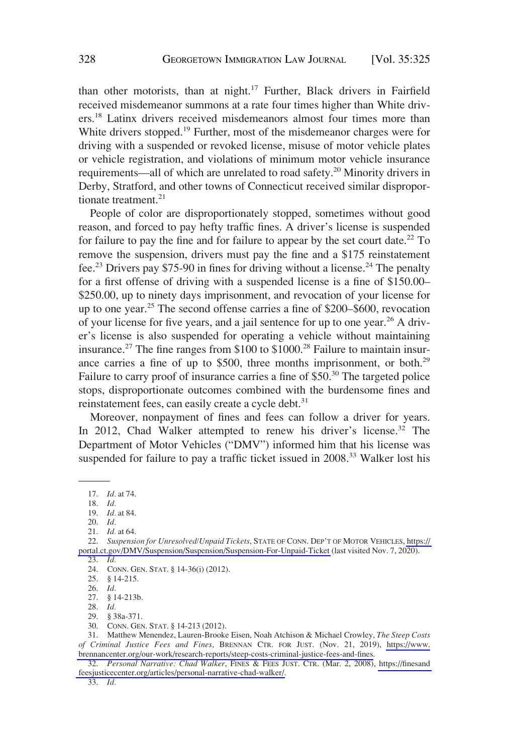than other motorists, than at night.<sup>17</sup> Further, Black drivers in Fairfield received misdemeanor summons at a rate four times higher than White drivers.18 Latinx drivers received misdemeanors almost four times more than White drivers stopped.<sup>19</sup> Further, most of the misdemeanor charges were for driving with a suspended or revoked license, misuse of motor vehicle plates or vehicle registration, and violations of minimum motor vehicle insurance requirements—all of which are unrelated to road safety.20 Minority drivers in Derby, Stratford, and other towns of Connecticut received similar disproportionate treatment.<sup>21</sup>

People of color are disproportionately stopped, sometimes without good reason, and forced to pay hefty traffic fines. A driver's license is suspended for failure to pay the fine and for failure to appear by the set court date.<sup>22</sup> To remove the suspension, drivers must pay the fine and a \$175 reinstatement fee.<sup>23</sup> Drivers pay \$75-90 in fines for driving without a license.<sup>24</sup> The penalty for a first offense of driving with a suspended license is a fine of \$150.00– \$250.00, up to ninety days imprisonment, and revocation of your license for up to one year.25 The second offense carries a fine of \$200–\$600, revocation of your license for five years, and a jail sentence for up to one year.26 A driver's license is also suspended for operating a vehicle without maintaining insurance.<sup>27</sup> The fine ranges from \$100 to \$1000<sup>28</sup> Failure to maintain insurance carries a fine of up to \$500, three months imprisonment, or both.<sup>29</sup> Failure to carry proof of insurance carries a fine of \$50.<sup>30</sup> The targeted police stops, disproportionate outcomes combined with the burdensome fines and reinstatement fees, can easily create a cycle debt.<sup>31</sup>

Moreover, nonpayment of fines and fees can follow a driver for years. In 2012, Chad Walker attempted to renew his driver's license.<sup>32</sup> The Department of Motor Vehicles ("DMV") informed him that his license was suspended for failure to pay a traffic ticket issued in 2008.<sup>33</sup> Walker lost his

<sup>17.</sup> *Id.* at 74.

<sup>18.</sup> *Id.* 

<sup>19.</sup> *Id.* at 84.

<sup>20.</sup> *Id.* 

<sup>21.</sup> *Id.* at 64.

<sup>22.</sup> *Suspension for Unresolved/Unpaid Tickets*, STATE OF CONN. DEP'T OF MOTOR VEHICLES, [https://](https://portal.ct.gov/DMV/Suspension/Suspension/Suspension-For-Unpaid-Ticket)  [portal.ct.gov/DMV/Suspension/Suspension/Suspension-For-Unpaid-Ticket](https://portal.ct.gov/DMV/Suspension/Suspension/Suspension-For-Unpaid-Ticket) (last visited Nov. 7, 2020). 23. *Id.* 

<sup>24.</sup> CONN. GEN. STAT. § 14-36(i) (2012).

<sup>25. § 14-215.</sup> 

<sup>26.</sup> *Id.* 

<sup>27. § 14-213</sup>b.

<sup>28.</sup> *Id.* 

<sup>29. § 38</sup>a-371.

<sup>30.</sup> CONN. GEN. STAT. § 14-213 (2012).

Matthew Menendez, Lauren-Brooke Eisen, Noah Atchison & Michael Crowley, *The Steep Costs*  31. *of Criminal Justice Fees and Fines*, BRENNAN CTR. FOR JUST. (Nov. 21, 2019), [https://www.](https://www.brennancenter.org/our-work/research-reports/steep-costs-criminal-justice-fees-and-fines)  [brennancenter.org/our-work/research-reports/steep-costs-criminal-justice-fees-and-fines](https://www.brennancenter.org/our-work/research-reports/steep-costs-criminal-justice-fees-and-fines).

<sup>32.</sup> *Personal Narrative: Chad Walker*, FINES & FEES JUST. CTR. (Mar. 2, 2008), [https://finesand](https://www.finesandfeesjusticecenter.org/articles/personal-narrative-chad-walker/)  [feesjusticecenter.org/articles/personal-narrative-chad-walker/.](https://www.finesandfeesjusticecenter.org/articles/personal-narrative-chad-walker/)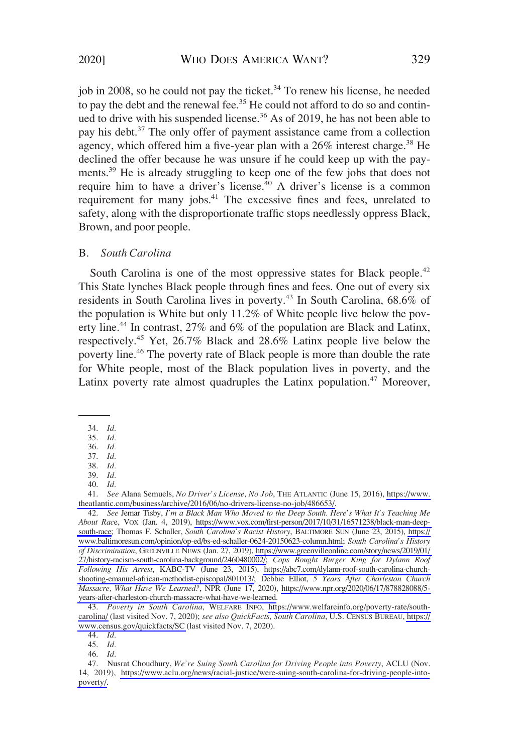<span id="page-4-0"></span>job in 2008, so he could not pay the ticket.<sup>34</sup> To renew his license, he needed to pay the debt and the renewal fee.<sup>35</sup> He could not afford to do so and continued to drive with his suspended license.<sup>36</sup> As of 2019, he has not been able to pay his debt.<sup>37</sup> The only offer of payment assistance came from a collection agency, which offered him a five-year plan with a  $26\%$  interest charge.<sup>38</sup> He declined the offer because he was unsure if he could keep up with the payments.<sup>39</sup> He is already struggling to keep one of the few jobs that does not require him to have a driver's license.<sup>40</sup> A driver's license is a common requirement for many jobs.<sup>41</sup> The excessive fines and fees, unrelated to safety, along with the disproportionate traffic stops needlessly oppress Black, Brown, and poor people.

#### B. *South Carolina*

South Carolina is one of the most oppressive states for Black people.<sup>42</sup> This State lynches Black people through fines and fees. One out of every six residents in South Carolina lives in poverty.<sup>43</sup> In South Carolina, 68.6% of the population is White but only 11.2% of White people live below the poverty line.<sup>44</sup> In contrast, 27% and 6% of the population are Black and Latinx, respectively.<sup>45</sup> Yet, 26.7% Black and 28.6% Latinx people live below the poverty line.<sup>46</sup> The poverty rate of Black people is more than double the rate for White people, most of the Black population lives in poverty, and the Latinx poverty rate almost quadruples the Latinx population.<sup>47</sup> Moreover,

41. *See* Alana Semuels, *No Driver's License, No Job*, THE ATLANTIC (June 15, 2016), [https://www.](https://www.theatlantic.com/business/archive/2016/06/no-drivers-license-no-job/486653/)  [theatlantic.com/business/archive/2016/06/no-drivers-license-no-job/486653/.](https://www.theatlantic.com/business/archive/2016/06/no-drivers-license-no-job/486653/)

42. *See* Jemar Tisby, *I'm a Black Man Who Moved to the Deep South. Here's What It's Teaching Me About Rac*e, VOX (Jan. 4, 2019), [https://www.vox.com/first-person/2017/10/31/16571238/black-man-deep](https://www.vox.com/first-person/2017/10/31/16571238/black-man-deep-south-race)[south-race;](https://www.vox.com/first-person/2017/10/31/16571238/black-man-deep-south-race) Thomas F. Schaller, *South Carolina's Racist History*, BALTIMORE SUN (June 23, 2015), [https://](https://www.baltimoresun.com/opinion/op-ed/bs-ed-schaller-0624-20150623-column.html)  [www.baltimoresun.com/opinion/op-ed/bs-ed-schaller-0624-20150623-column.html;](https://www.baltimoresun.com/opinion/op-ed/bs-ed-schaller-0624-20150623-column.html) *South Carolina's History of Discrimination*, GREENVILLE NEWS (Jan. 27, 2019), [https://www.greenvilleonline.com/story/news/2019/01/](https://www.greenvilleonline.com/story/news/2019/01/27/history-racism-south-carolina-background/2460480002/)  [27/history-racism-south-carolina-background/2460480002/;](https://www.greenvilleonline.com/story/news/2019/01/27/history-racism-south-carolina-background/2460480002/) *Cops Bought Burger King for Dylann Roof Following His Arrest*, KABC-TV (June 23, 2015), [https://abc7.com/dylann-roof-south-carolina-church](https://abc7.com/dylann-roof-south-carolina-church-shooting-emanuel-african-methodist-episcopal/801013/)[shooting-emanuel-african-methodist-episcopal/801013/;](https://abc7.com/dylann-roof-south-carolina-church-shooting-emanuel-african-methodist-episcopal/801013/) Debbie Elliot, *5 Years After Charleston Church Massacre, What Have We Learned?*, NPR (June 17, 2020), [https://www.npr.org/2020/06/17/878828088/5](https://www.npr.org/2020/06/17/878828088/5-years-after-charleston-church-massacre-what-have-we-learned)  [years-after-charleston-church-massacre-what-have-we-learned.](https://www.npr.org/2020/06/17/878828088/5-years-after-charleston-church-massacre-what-have-we-learned)

43. *Poverty in South Carolina*, WELFARE INFO, [https://www.welfareinfo.org/poverty-rate/south](https://www.welfareinfo.org/poverty-rate/south-carolina/)[carolina/](https://www.welfareinfo.org/poverty-rate/south-carolina/) (last visited Nov. 7, 2020); *see also QuickFacts, South Carolina*, U.S. CENSUS BUREAU, [https://](https://www.census.gov/quickfacts/SC) [www.census.gov/quickfacts/SC](https://www.census.gov/quickfacts/SC) (last visited Nov. 7, 2020).

44. *Id.* 

45. *Id.* 

<sup>34.</sup> *Id.* 

<sup>35.</sup> *Id.* 

<sup>36.</sup> *Id.*  37. *Id.* 

<sup>38.</sup> *Id.* 

<sup>39.</sup> *Id.* 

<sup>40.</sup> *Id.* 

<sup>46.</sup> *Id.* 

<sup>47.</sup> Nusrat Choudhury, *We're Suing South Carolina for Driving People into Poverty*, ACLU (Nov. 14, 2019), [https://www.aclu.org/news/racial-justice/were-suing-south-carolina-for-driving-people-into](https://www.aclu.org/news/racial-justice/were-suing-south-carolina-for-driving-people-into-poverty/)[poverty/.](https://www.aclu.org/news/racial-justice/were-suing-south-carolina-for-driving-people-into-poverty/)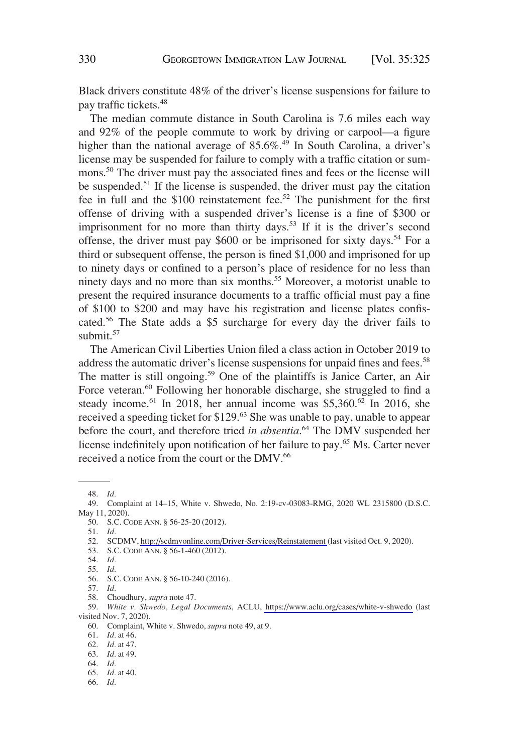Black drivers constitute 48% of the driver's license suspensions for failure to pay traffic tickets.<sup>48</sup>

The median commute distance in South Carolina is 7.6 miles each way and 92% of the people commute to work by driving or carpool—a figure higher than the national average of  $85.6\%$ .<sup>49</sup> In South Carolina, a driver's license may be suspended for failure to comply with a traffic citation or summons.<sup>50</sup> The driver must pay the associated fines and fees or the license will be suspended.<sup>51</sup> If the license is suspended, the driver must pay the citation fee in full and the \$100 reinstatement fee.<sup>52</sup> The punishment for the first offense of driving with a suspended driver's license is a fine of \$300 or imprisonment for no more than thirty days.<sup>53</sup> If it is the driver's second offense, the driver must pay \$600 or be imprisoned for sixty days.<sup>54</sup> For a third or subsequent offense, the person is fined \$1,000 and imprisoned for up to ninety days or confined to a person's place of residence for no less than ninety days and no more than six months.<sup>55</sup> Moreover, a motorist unable to present the required insurance documents to a traffic official must pay a fine of \$100 to \$200 and may have his registration and license plates confiscated.<sup>56</sup> The State adds a \$5 surcharge for every day the driver fails to submit.<sup>57</sup>

The American Civil Liberties Union filed a class action in October 2019 to address the automatic driver's license suspensions for unpaid fines and fees.<sup>58</sup> The matter is still ongoing.<sup>59</sup> One of the plaintiffs is Janice Carter, an Air Force veteran.<sup>60</sup> Following her honorable discharge, she struggled to find a steady income.<sup>61</sup> In 2018, her annual income was \$5,360.<sup>62</sup> In 2016, she received a speeding ticket for \$129.<sup>63</sup> She was unable to pay, unable to appear before the court, and therefore tried *in absentia*. 64 The DMV suspended her license indefinitely upon notification of her failure to pay.<sup>65</sup> Ms. Carter never received a notice from the court or the DMV.<sup>66</sup>

<sup>48.</sup> *Id.* 

<sup>49.</sup> Complaint at 14–15, White v. Shwedo, No. 2:19-cv-03083-RMG, 2020 WL 2315800 (D.S.C. May 11, 2020).

<sup>50.</sup> S.C. CODE ANN. § 56-25-20 (2012).

<sup>51.</sup> *Id.* 

<sup>52.</sup> SCDMV,<http://scdmvonline.com/Driver-Services/Reinstatement>(last visited Oct. 9, 2020).

<sup>53.</sup> S.C. CODE ANN. § 56-1-460 (2012).

<sup>54.</sup> *Id.* 

<sup>55.</sup> *Id.* 

<sup>56.</sup> S.C. CODE ANN. § 56-10-240 (2016).

<sup>57.</sup> *Id.* 

<sup>58.</sup> Choudhury, *supra* note 47.

<sup>59.</sup> *White v. Shwedo, Legal Documents*, ACLU,<https://www.aclu.org/cases/white-v-shwedo>(last visited Nov. 7, 2020).

<sup>60.</sup> Complaint, White v. Shwedo, *supra* note 49, at 9.

<sup>61.</sup> *Id.* at 46.

<sup>62.</sup> *Id.* at 47.

<sup>63.</sup> *Id.* at 49.

<sup>64.</sup> *Id.* 

<sup>65.</sup> *Id.* at 40.

<sup>66.</sup> *Id.*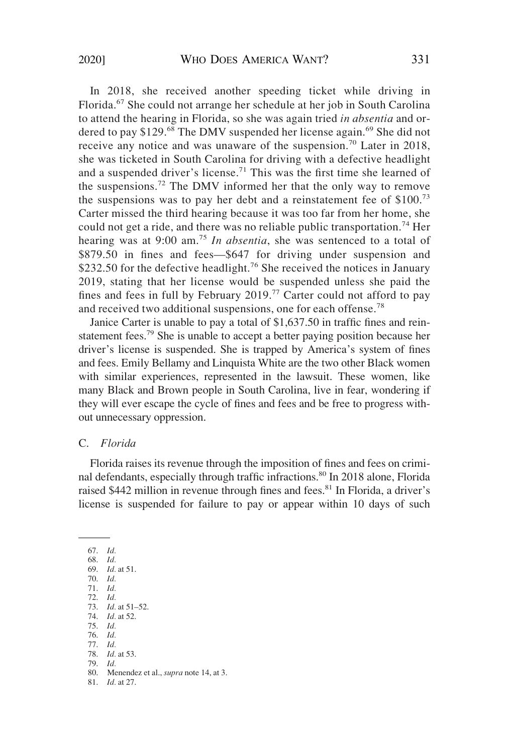<span id="page-6-0"></span>In 2018, she received another speeding ticket while driving in Florida.<sup>67</sup> She could not arrange her schedule at her job in South Carolina to attend the hearing in Florida, so she was again tried *in absentia* and ordered to pay \$129.<sup>68</sup> The DMV suspended her license again.<sup>69</sup> She did not receive any notice and was unaware of the suspension.<sup>70</sup> Later in 2018, she was ticketed in South Carolina for driving with a defective headlight and a suspended driver's license.<sup>71</sup> This was the first time she learned of the suspensions.<sup>72</sup> The DMV informed her that the only way to remove the suspensions was to pay her debt and a reinstatement fee of \$100.<sup>73</sup> Carter missed the third hearing because it was too far from her home, she could not get a ride, and there was no reliable public transportation.<sup>74</sup> Her hearing was at 9:00 am.<sup>75</sup> *In absentia*, she was sentenced to a total of \$879.50 in fines and fees—\$647 for driving under suspension and \$232.50 for the defective headlight.<sup>76</sup> She received the notices in January 2019, stating that her license would be suspended unless she paid the fines and fees in full by February  $2019$ .<sup>77</sup> Carter could not afford to pay and received two additional suspensions, one for each offense.<sup>78</sup>

Janice Carter is unable to pay a total of \$1,637.50 in traffic fines and reinstatement fees.<sup>79</sup> She is unable to accept a better paying position because her driver's license is suspended. She is trapped by America's system of fines and fees. Emily Bellamy and Linquista White are the two other Black women with similar experiences, represented in the lawsuit. These women, like many Black and Brown people in South Carolina, live in fear, wondering if they will ever escape the cycle of fines and fees and be free to progress without unnecessary oppression.

#### C. *Florida*

Florida raises its revenue through the imposition of fines and fees on criminal defendants, especially through traffic infractions.<sup>80</sup> In 2018 alone, Florida raised \$442 million in revenue through fines and fees.<sup>81</sup> In Florida, a driver's license is suspended for failure to pay or appear within 10 days of such

67. *Id.*  68. *Id.*  69. *Id.* at 51. 70. *Id.*  71. *Id.*  72. *Id.*  73. *Id.* at 51–52. 74. *Id.* at 52. 75. *Id.*  76. *Id.*  77. *Id.*  78. *Id.* at 53. 79. *Id.*  80. Menendez et al., *supra* note 14, at 3. 81. *Id.* at 27.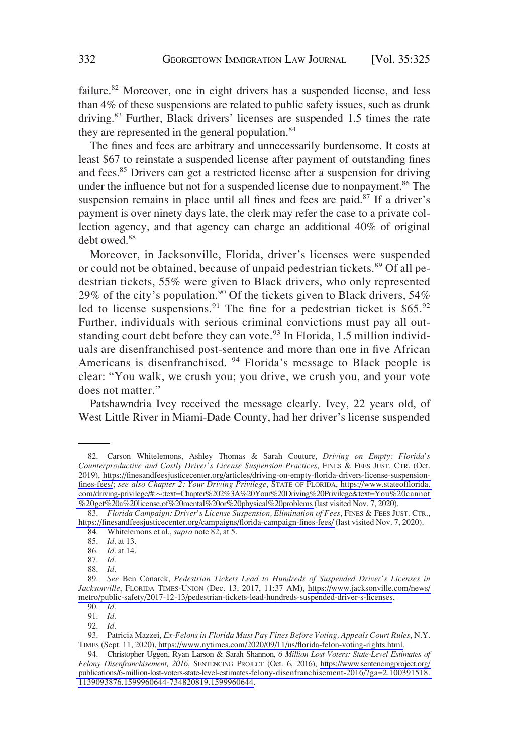failure.<sup>82</sup> Moreover, one in eight drivers has a suspended license, and less than 4% of these suspensions are related to public safety issues, such as drunk driving.<sup>83</sup> Further, Black drivers' licenses are suspended 1.5 times the rate they are represented in the general population.<sup>84</sup>

The fines and fees are arbitrary and unnecessarily burdensome. It costs at least \$67 to reinstate a suspended license after payment of outstanding fines and fees.<sup>85</sup> Drivers can get a restricted license after a suspension for driving under the influence but not for a suspended license due to nonpayment.<sup>86</sup> The suspension remains in place until all fines and fees are paid. $87$  If a driver's payment is over ninety days late, the clerk may refer the case to a private collection agency, and that agency can charge an additional 40% of original debt owed.<sup>88</sup>

Moreover, in Jacksonville, Florida, driver's licenses were suspended or could not be obtained, because of unpaid pedestrian tickets.<sup>89</sup> Of all pedestrian tickets, 55% were given to Black drivers, who only represented 29% of the city's population.<sup>90</sup> Of the tickets given to Black drivers, 54% led to license suspensions.<sup>91</sup> The fine for a pedestrian ticket is \$65.<sup>92</sup> Further, individuals with serious criminal convictions must pay all outstanding court debt before they can vote.<sup>93</sup> In Florida, 1.5 million individuals are disenfranchised post-sentence and more than one in five African Americans is disenfranchised. <sup>94</sup> Florida's message to Black people is clear: "You walk, we crush you; you drive, we crush you, and your vote does not matter."

Patshawndria Ivey received the message clearly. Ivey, 22 years old, of West Little River in Miami-Dade County, had her driver's license suspended

<sup>82.</sup> Carson Whitelemons, Ashley Thomas & Sarah Couture, *Driving on Empty: Florida's Counterproductive and Costly Driver's License Suspension Practices*, FINES & FEES JUST. CTR. (Oct. 2019), [https://finesandfeesjusticecenter.org/articles/driving-on-empty-florida-drivers-license-suspension](https://finesandfeesjusticecenter.org/articles/driving-on-empty-florida-drivers-license-suspension-fines-fees/)[fines-fees/;](https://finesandfeesjusticecenter.org/articles/driving-on-empty-florida-drivers-license-suspension-fines-fees/) *see also Chapter 2: Your Driving Privilege*, STATE OF FLORIDA, [https://www.stateofflorida.](https://www.stateofflorida.com/driving-privilege/#:%E2%88%BC:text=Chapter%202%3A%20Your%20Driving%20Privilege&text=You%20cannot%20get%20a%20license,of%20mental%20or%20physical%20problems)  com/driving-privilege/#:�[:text=Chapter%202%3A%20Your%20Driving%20Privilege&text=You%20cannot](https://www.stateofflorida.com/driving-privilege/#:%E2%88%BC:text=Chapter%202%3A%20Your%20Driving%20Privilege&text=You%20cannot%20get%20a%20license,of%20mental%20or%20physical%20problems)  [%20get%20a%20license,of%20mental%20or%20physical%20problems](https://www.stateofflorida.com/driving-privilege/#:%E2%88%BC:text=Chapter%202%3A%20Your%20Driving%20Privilege&text=You%20cannot%20get%20a%20license,of%20mental%20or%20physical%20problems) (last visited Nov. 7, 2020).

<sup>83.</sup> *Florida Campaign: Driver's License Suspension, Elimination of Fees*, FINES & FEES JUST. CTR., <https://finesandfeesjusticecenter.org/campaigns/florida-campaign-fines-fees/>(last visited Nov. 7, 2020).

<sup>84.</sup> Whitelemons et al., *supra* note 82, at 5.

<sup>85.</sup> *Id.* at 13.

<sup>86.</sup> *Id.* at 14.

<sup>87.</sup> *Id.* 

<sup>88.</sup> *Id.* 

<sup>89.</sup> *See* Ben Conarck, *Pedestrian Tickets Lead to Hundreds of Suspended Driver's Licenses in Jacksonville*, FLORIDA TIMES-UNION (Dec. 13, 2017, 11:37 AM), [https://www.jacksonville.com/news/](https://www.jacksonville.com/news/metro/public-safety/2017-12-13/pedestrian-tickets-lead-hundreds-suspended-driver-s-licenses)  [metro/public-safety/2017-12-13/pedestrian-tickets-lead-hundreds-suspended-driver-s-licenses](https://www.jacksonville.com/news/metro/public-safety/2017-12-13/pedestrian-tickets-lead-hundreds-suspended-driver-s-licenses).

<sup>90.</sup> *Id.*  91. *Id.* 

<sup>92.</sup> *Id.* 

<sup>93.</sup> Patricia Mazzei, *Ex-Felons in Florida Must Pay Fines Before Voting, Appeals Court Rules*, N.Y. TIMES (Sept. 11, 2020), [https://www.nytimes.com/2020/09/11/us/florida-felon-voting-rights.html.](https://www.nytimes.com/2020/09/11/us/florida-felon-voting-rights.html)

<sup>94.</sup> Christopher Uggen, Ryan Larson & Sarah Shannon, *6 Million Lost Voters: State-Level Estimates of Felony Disenfranchisement, 2016*, SENTENCING PROJECT (Oct. 6, 2016), [https://www.sentencingproject.org/](https://www.sentencingproject.org/publications/6-million-lost-voters-state-level-estimates-felony-disenfranchisement-2016/?ga=2.100391518.1139093876.1599960644-734820819.1599960644)  [publications/6-million-lost-voters-state-level-estimates-felony-disenfranchisement-2016/?ga=2.100391518.](https://www.sentencingproject.org/publications/6-million-lost-voters-state-level-estimates-felony-disenfranchisement-2016/?ga=2.100391518.1139093876.1599960644-734820819.1599960644)  [1139093876.1599960644-734820819.1599960644](https://www.sentencingproject.org/publications/6-million-lost-voters-state-level-estimates-felony-disenfranchisement-2016/?ga=2.100391518.1139093876.1599960644-734820819.1599960644).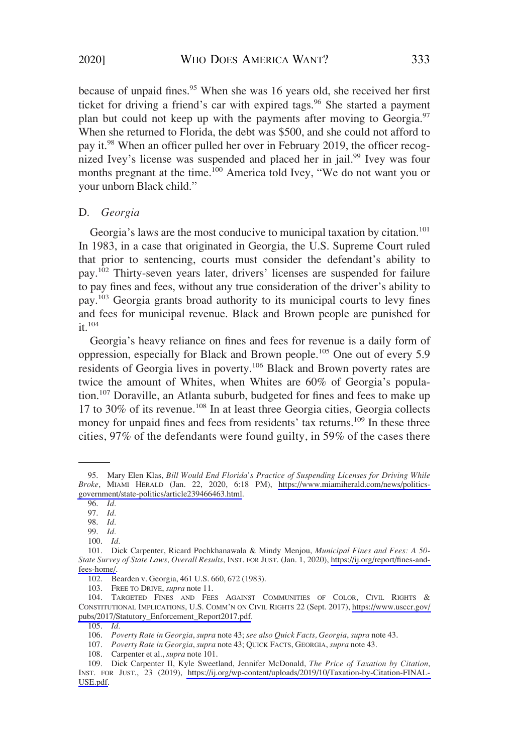<span id="page-8-0"></span>because of unpaid fines.<sup>95</sup> When she was 16 years old, she received her first ticket for driving a friend's car with expired tags.<sup>96</sup> She started a payment plan but could not keep up with the payments after moving to Georgia.<sup>97</sup> When she returned to Florida, the debt was \$500, and she could not afford to pay it.98 When an officer pulled her over in February 2019, the officer recognized Ivey's license was suspended and placed her in jail.<sup>99</sup> Ivey was four months pregnant at the time.<sup>100</sup> America told Ivey, "We do not want you or your unborn Black child."

#### D. *Georgia*

Georgia's laws are the most conducive to municipal taxation by citation.<sup>101</sup> In 1983, in a case that originated in Georgia, the U.S. Supreme Court ruled that prior to sentencing, courts must consider the defendant's ability to pay.102 Thirty-seven years later, drivers' licenses are suspended for failure to pay fines and fees, without any true consideration of the driver's ability to pay.103 Georgia grants broad authority to its municipal courts to levy fines and fees for municipal revenue. Black and Brown people are punished for  $it$ <sup>104</sup>

Georgia's heavy reliance on fines and fees for revenue is a daily form of oppression, especially for Black and Brown people.105 One out of every 5.9 residents of Georgia lives in poverty.<sup>106</sup> Black and Brown poverty rates are twice the amount of Whites, when Whites are 60% of Georgia's population.<sup>107</sup> Doraville, an Atlanta suburb, budgeted for fines and fees to make up 17 to 30% of its revenue.108 In at least three Georgia cities, Georgia collects money for unpaid fines and fees from residents' tax returns.<sup>109</sup> In these three cities, 97% of the defendants were found guilty, in 59% of the cases there

<sup>95.</sup> Mary Elen Klas, *Bill Would End Florida's Practice of Suspending Licenses for Driving While Broke*, MIAMI HERALD (Jan. 22, 2020, 6:18 PM), [https://www.miamiherald.com/news/politics](https://www.miamiherald.com/news/politics-government/state-politics/article239466463.html)[government/state-politics/article239466463.html.](https://www.miamiherald.com/news/politics-government/state-politics/article239466463.html)

<sup>96.</sup> *Id.* 

<sup>97.</sup> *Id.* 

<sup>98.</sup> *Id.* 

<sup>99.</sup> *Id.* 

<sup>100.</sup> *Id.* 

<sup>101.</sup> Dick Carpenter, Ricard Pochkhanawala & Mindy Menjou, *Municipal Fines and Fees: A 50- State Survey of State Laws, Overall Results*, INST. FOR JUST. (Jan. 1, 2020), [https://ij.org/report/fines-and](https://www.ij.org/report/fines-and-fees-home/)[fees-home/.](https://www.ij.org/report/fines-and-fees-home/)

<sup>102.</sup> Bearden v. Georgia, 461 U.S. 660, 672 (1983).

<sup>103.</sup> FREE TO DRIVE, *supra* note 11.

<sup>104.</sup> TARGETED FINES AND FEES AGAINST COMMUNITIES OF COLOR, CIVIL RIGHTS & CONSTITUTIONAL IMPLICATIONS, U.S. COMM'N ON CIVIL RIGHTS 22 (Sept. 2017), [https://www.usccr.gov/](https://www.usccr.gov/pubs/2017/Statutory_Enforcement_Report2017.pdf)  [pubs/2017/Statutory\\_Enforcement\\_Report2017.pdf.](https://www.usccr.gov/pubs/2017/Statutory_Enforcement_Report2017.pdf)

<sup>105.</sup> *Id.* 

<sup>106.</sup> *Poverty Rate in Georgia*, *supra* note 43; *see also Quick Facts, Georgia*, *supra* note 43.

<sup>107.</sup> *Poverty Rate in Georgia*, *supra* note 43; QUICK FACTS, GEORGIA, *supra* note 43.

<sup>108.</sup> Carpenter et al., *supra* note 101.

<sup>109.</sup> Dick Carpenter II, Kyle Sweetland, Jennifer McDonald, *The Price of Taxation by Citation*, INST. FOR JUST., 23 (2019), [https://ij.org/wp-content/uploads/2019/10/Taxation-by-Citation-FINAL-](https://ij.org/wp-content/uploads/2019/10/Taxation-by-Citation-FINAL-USE.pdf)[USE.pdf.](https://ij.org/wp-content/uploads/2019/10/Taxation-by-Citation-FINAL-USE.pdf)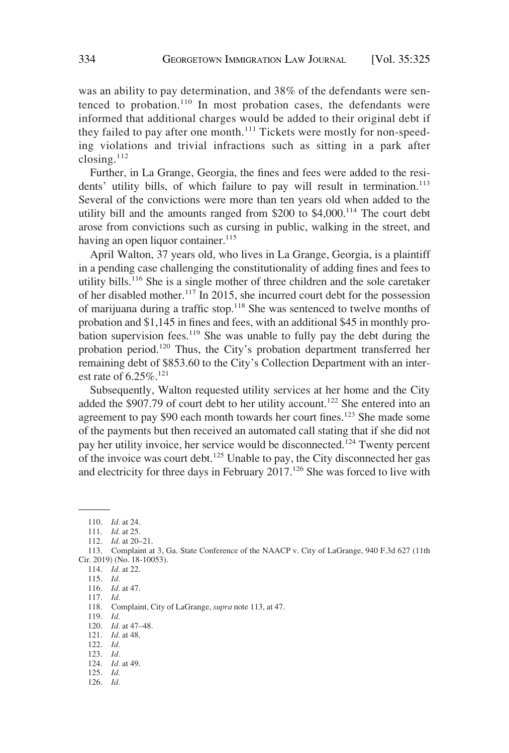was an ability to pay determination, and 38% of the defendants were sentenced to probation. $110$  In most probation cases, the defendants were informed that additional charges would be added to their original debt if they failed to pay after one month.<sup>111</sup> Tickets were mostly for non-speeding violations and trivial infractions such as sitting in a park after closing.<sup>112</sup>

Further, in La Grange, Georgia, the fines and fees were added to the residents' utility bills, of which failure to pay will result in termination.<sup>113</sup> Several of the convictions were more than ten years old when added to the utility bill and the amounts ranged from  $$200$  to  $$4,000$ .<sup>114</sup> The court debt arose from convictions such as cursing in public, walking in the street, and having an open liquor container.  $115$ 

April Walton, 37 years old, who lives in La Grange, Georgia, is a plaintiff in a pending case challenging the constitutionality of adding fines and fees to utility bills.116 She is a single mother of three children and the sole caretaker of her disabled mother.117 In 2015, she incurred court debt for the possession of marijuana during a traffic stop.118 She was sentenced to twelve months of probation and \$1,145 in fines and fees, with an additional \$45 in monthly probation supervision fees.<sup>119</sup> She was unable to fully pay the debt during the probation period.120 Thus, the City's probation department transferred her remaining debt of \$853.60 to the City's Collection Department with an interest rate of  $6.25\%$ <sup>121</sup>

Subsequently, Walton requested utility services at her home and the City added the \$907.79 of court debt to her utility account.<sup>122</sup> She entered into an agreement to pay \$90 each month towards her court fines.123 She made some of the payments but then received an automated call stating that if she did not pay her utility invoice, her service would be disconnected.124 Twenty percent of the invoice was court debt.125 Unable to pay, the City disconnected her gas and electricity for three days in February 2017.<sup>126</sup> She was forced to live with

120. *Id.* at 47–48.

124. *Id.* at 49.

126. *Id.* 

<sup>110.</sup> *Id.* at 24.

<sup>111.</sup> *Id.* at 25.

<sup>112.</sup> *Id.* at 20–21.

<sup>113.</sup> Complaint at 3, Ga. State Conference of the NAACP v. City of LaGrange, 940 F.3d 627 (11th Cir. 2019) (No. 18-10053).

<sup>114.</sup> *Id.* at 22.

<sup>115.</sup> *Id.* 

<sup>116.</sup> *Id.* at 47.

<sup>117.</sup> *Id.* 

<sup>118.</sup> Complaint, City of LaGrange, *supra* note 113, at 47.

<sup>119.</sup> *Id.* 

<sup>121.</sup> *Id.* at 48.

<sup>122.</sup> *Id.* 

<sup>123.</sup> *Id.* 

<sup>125.</sup> *Id.*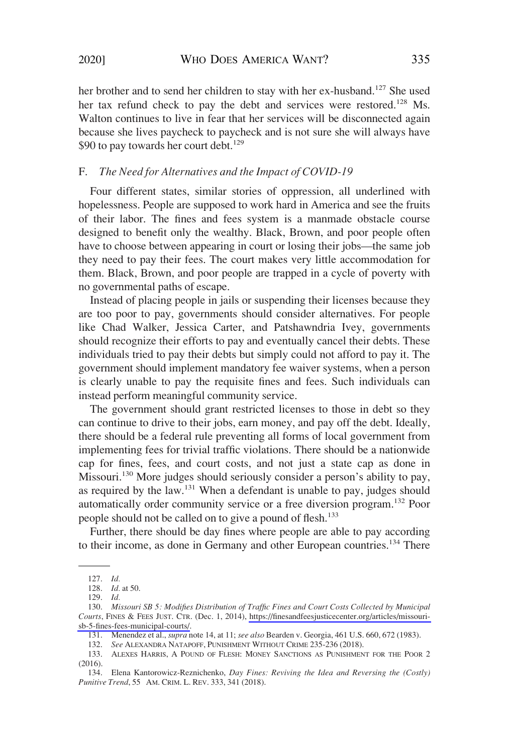<span id="page-10-0"></span>her brother and to send her children to stay with her ex-husband.<sup>127</sup> She used her tax refund check to pay the debt and services were restored.<sup>128</sup> Ms. Walton continues to live in fear that her services will be disconnected again because she lives paycheck to paycheck and is not sure she will always have \$90 to pay towards her court debt.<sup>129</sup>

### F. *The Need for Alternatives and the Impact of COVID-19*

Four different states, similar stories of oppression, all underlined with hopelessness. People are supposed to work hard in America and see the fruits of their labor. The fines and fees system is a manmade obstacle course designed to benefit only the wealthy. Black, Brown, and poor people often have to choose between appearing in court or losing their jobs—the same job they need to pay their fees. The court makes very little accommodation for them. Black, Brown, and poor people are trapped in a cycle of poverty with no governmental paths of escape.

Instead of placing people in jails or suspending their licenses because they are too poor to pay, governments should consider alternatives. For people like Chad Walker, Jessica Carter, and Patshawndria Ivey, governments should recognize their efforts to pay and eventually cancel their debts. These individuals tried to pay their debts but simply could not afford to pay it. The government should implement mandatory fee waiver systems, when a person is clearly unable to pay the requisite fines and fees. Such individuals can instead perform meaningful community service.

The government should grant restricted licenses to those in debt so they can continue to drive to their jobs, earn money, and pay off the debt. Ideally, there should be a federal rule preventing all forms of local government from implementing fees for trivial traffic violations. There should be a nationwide cap for fines, fees, and court costs, and not just a state cap as done in Missouri.<sup>130</sup> More judges should seriously consider a person's ability to pay, as required by the law.131 When a defendant is unable to pay, judges should automatically order community service or a free diversion program.132 Poor people should not be called on to give a pound of flesh.<sup>133</sup>

Further, there should be day fines where people are able to pay according to their income, as done in Germany and other European countries.<sup>134</sup> There

132. *See* ALEXANDRA NATAPOFF, PUNISHMENT WITHOUT CRIME 235-236 (2018).

<sup>127.</sup> *Id.* 

<sup>128.</sup> *Id.* at 50.

<sup>129.</sup> *Id.* 

<sup>130.</sup> *Missouri SB 5: Modifies Distribution of Traffic Fines and Court Costs Collected by Municipal Courts*, FINES & FEES JUST. CTR. (Dec. 1, 2014), [https://finesandfeesjusticecenter.org/articles/missouri](https://www.finesandfeesjusticecenter.org/articles/missouri-sb-5-fines-fees-municipal-courts/)[sb-5-fines-fees-municipal-courts/.](https://www.finesandfeesjusticecenter.org/articles/missouri-sb-5-fines-fees-municipal-courts/)

<sup>131.</sup> Menendez et al., *supra* note 14, at 11; *see also* Bearden v. Georgia, 461 U.S. 660, 672 (1983).

<sup>133.</sup> ALEXES HARRIS, A POUND OF FLESH: MONEY SANCTIONS AS PUNISHMENT FOR THE POOR 2  $(2016)$ .

<sup>134.</sup> Elena Kantorowicz-Reznichenko, *Day Fines: Reviving the Idea and Reversing the (Costly) Punitive Trend*, 55 AM. CRIM. L. REV. 333, 341 (2018).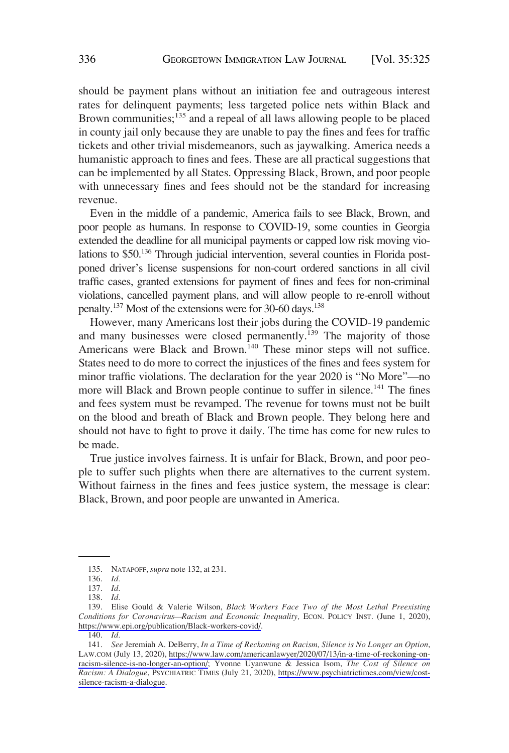should be payment plans without an initiation fee and outrageous interest rates for delinquent payments; less targeted police nets within Black and Brown communities; $^{135}$  and a repeal of all laws allowing people to be placed in county jail only because they are unable to pay the fines and fees for traffic tickets and other trivial misdemeanors, such as jaywalking. America needs a humanistic approach to fines and fees. These are all practical suggestions that can be implemented by all States. Oppressing Black, Brown, and poor people with unnecessary fines and fees should not be the standard for increasing revenue.

Even in the middle of a pandemic, America fails to see Black, Brown, and poor people as humans. In response to COVID-19, some counties in Georgia extended the deadline for all municipal payments or capped low risk moving violations to \$50.136 Through judicial intervention, several counties in Florida postponed driver's license suspensions for non-court ordered sanctions in all civil traffic cases, granted extensions for payment of fines and fees for non-criminal violations, cancelled payment plans, and will allow people to re-enroll without penalty.<sup>137</sup> Most of the extensions were for 30-60 days.<sup>138</sup>

However, many Americans lost their jobs during the COVID-19 pandemic and many businesses were closed permanently.<sup>139</sup> The majority of those Americans were Black and Brown.<sup>140</sup> These minor steps will not suffice. States need to do more to correct the injustices of the fines and fees system for minor traffic violations. The declaration for the year 2020 is "No More"—no more will Black and Brown people continue to suffer in silence.<sup>141</sup> The fines and fees system must be revamped. The revenue for towns must not be built on the blood and breath of Black and Brown people. They belong here and should not have to fight to prove it daily. The time has come for new rules to be made.

True justice involves fairness. It is unfair for Black, Brown, and poor people to suffer such plights when there are alternatives to the current system. Without fairness in the fines and fees justice system, the message is clear: Black, Brown, and poor people are unwanted in America.

<sup>135.</sup> NATAPOFF, *supra* note 132, at 231.

<sup>136.</sup> *Id.* 

<sup>137.</sup> *Id.* 

<sup>138.</sup> *Id.* 

<sup>139.</sup> Elise Gould & Valerie Wilson, *Black Workers Face Two of the Most Lethal Preexisting Conditions for Coronavirus—Racism and Economic Inequality,* ECON. POLICY INST. (June 1, 2020), <https://www.epi.org/publication/Black-workers-covid/>.

<sup>140.</sup> *Id.* 

<sup>141.</sup> *See* Jeremiah A. DeBerry, *In a Time of Reckoning on Racism, Silence is No Longer an Option*, LAW.COM (July 13, 2020), [https://www.law.com/americanlawyer/2020/07/13/in-a-time-of-reckoning-on](https://www.law.com/americanlawyer/2020/07/13/in-a-time-of-reckoning-on-racism-silence-is-no-longer-an-option/)[racism-silence-is-no-longer-an-option/;](https://www.law.com/americanlawyer/2020/07/13/in-a-time-of-reckoning-on-racism-silence-is-no-longer-an-option/) Yvonne Uyanwune & Jessica Isom, *The Cost of Silence on Racism: A Dialogue*, PSYCHIATRIC TIMES (July 21, 2020), [https://www.psychiatrictimes.com/view/cost](https://www.psychiatrictimes.com/view/cost-silence-racism-a-dialogue)[silence-racism-a-dialogue.](https://www.psychiatrictimes.com/view/cost-silence-racism-a-dialogue)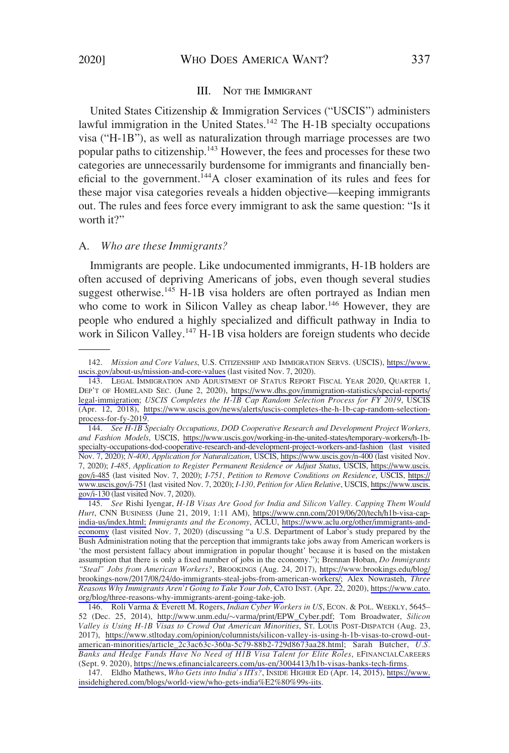### III. NOT THE IMMIGRANT

<span id="page-12-0"></span>United States Citizenship & Immigration Services ("USCIS") administers lawful immigration in the United States.<sup>142</sup> The H-1B specialty occupations visa ("H-1B"), as well as naturalization through marriage processes are two popular paths to citizenship.<sup>143</sup> However, the fees and processes for these two categories are unnecessarily burdensome for immigrants and financially beneficial to the government.<sup>144</sup>A closer examination of its rules and fees for these major visa categories reveals a hidden objective—keeping immigrants out. The rules and fees force every immigrant to ask the same question: "Is it worth it?"

#### A. *Who are these Immigrants?*

Immigrants are people. Like undocumented immigrants, H-1B holders are often accused of depriving Americans of jobs, even though several studies suggest otherwise.<sup>145</sup> H-1B visa holders are often portrayed as Indian men who come to work in Silicon Valley as cheap labor.<sup>146</sup> However, they are people who endured a highly specialized and difficult pathway in India to work in Silicon Valley.<sup>147</sup> H-1B visa holders are foreign students who decide

<sup>142.</sup> *Mission and Core Values*, U.S. CITIZENSHIP AND IMMIGRATION SERVS. (USCIS), [https://www.](https://www.uscis.gov/about-us/mission-and-core-values)  [uscis.gov/about-us/mission-and-core-values](https://www.uscis.gov/about-us/mission-and-core-values) (last visited Nov. 7, 2020).

<sup>143.</sup> LEGAL IMMIGRATION AND ADJUSTMENT OF STATUS REPORT FISCAL YEAR 2020, QUARTER 1, DEP'T OF HOMELAND SEC. (June 2, 2020), [https://www.dhs.gov/immigration-statistics/special-reports/](https://www.dhs.gov/immigration-statistics/special-reports/legal-immigration) [legal-immigration;](https://www.dhs.gov/immigration-statistics/special-reports/legal-immigration) *USCIS Completes the H-1B Cap Random Selection Process for FY 2019*, USCIS (Apr. 12, 2018), [https://www.uscis.gov/news/alerts/uscis-completes-the-h-1b-cap-random-selection](https://www.uscis.gov/news/alerts/uscis-completes-the-h-1b-cap-random-selection-process-for-fy-2019)[process-for-fy-2019.](https://www.uscis.gov/news/alerts/uscis-completes-the-h-1b-cap-random-selection-process-for-fy-2019)

<sup>144.</sup> *See H-1B Specialty Occupations, DOD Cooperative Research and Development Project Workers, and Fashion Models*, USCIS, [https://www.uscis.gov/working-in-the-united-states/temporary-workers/h-1b](https://www.uscis.gov/working-in-the-united-states/temporary-workers/h-1b-specialty-occupations-dod-cooperative-research-and-development-project-workers-and-fashion)[specialty-occupations-dod-cooperative-research-and-development-project-workers-and-fashion](https://www.uscis.gov/working-in-the-united-states/temporary-workers/h-1b-specialty-occupations-dod-cooperative-research-and-development-project-workers-and-fashion) (last visited Nov. 7, 2020); *N-400, Application for Naturalization*, USCIS,<https://www.uscis.gov/n-400> (last visited Nov. 7, 2020); *I-485, Application to Register Permanent Residence or Adjust Status*, USCIS, [https://www.uscis.](https://www.uscis.gov/i-485)  [gov/i-485](https://www.uscis.gov/i-485) (last visited Nov. 7, 2020); *I-751, Petition to Remove Conditions on Residence*, USCIS, [https://](https://www.uscis.gov/i-751)  [www.uscis.gov/i-751](https://www.uscis.gov/i-751) (last visited Nov. 7, 2020); *I-130, Petition for Alien Relative*, USCIS, [https://www.uscis.](https://www.uscis.gov/i-130)  [gov/i-130](https://www.uscis.gov/i-130) (last visited Nov. 7, 2020).

<sup>145.</sup> *See* Rishi Iyengar, *H-1B Visas Are Good for India and Silicon Valley. Capping Them Would Hurt*, CNN BUSINESS (June 21, 2019, 1:11 AM), [https://www.cnn.com/2019/06/20/tech/h1b-visa-cap](https://www.cnn.com/2019/06/20/tech/h1b-visa-cap-india-us/index.html)[india-us/index.html;](https://www.cnn.com/2019/06/20/tech/h1b-visa-cap-india-us/index.html) *Immigrants and the Economy*, ACLU, [https://www.aclu.org/other/immigrants-and](https://www.aclu.org/other/immigrants-and-economy)[economy](https://www.aclu.org/other/immigrants-and-economy) (last visited Nov. 7, 2020) (discussing "a U.S. Department of Labor's study prepared by the Bush Administration noting that the perception that immigrants take jobs away from American workers is 'the most persistent fallacy about immigration in popular thought' because it is based on the mistaken assumption that there is only a fixed number of jobs in the economy."); Brennan Hoban, *Do Immigrants "Steal" Jobs from American Workers?*, BROOKINGS (Aug. 24, 2017), [https://www.brookings.edu/blog/](https://www.brookings.edu/blog/brookings-now/2017/08/24/do-immigrants-steal-jobs-from-american-workers/) [brookings-now/2017/08/24/do-immigrants-steal-jobs-from-american-workers/](https://www.brookings.edu/blog/brookings-now/2017/08/24/do-immigrants-steal-jobs-from-american-workers/); Alex Nowrasteh, *Three Reasons Why Immigrants Aren't Going to Take Your Job*, CATO INST. (Apr. 22, 2020), [https://www.cato.](https://www.cato.org/blog/three-reasons-why-immigrants-arent-going-take-job) [org/blog/three-reasons-why-immigrants-arent-going-take-job.](https://www.cato.org/blog/three-reasons-why-immigrants-arent-going-take-job)

<sup>146.</sup> Roli Varma & Everett M. Rogers, *Indian Cyber Workers in US*, ECON. & POL. WEEKLY, 5645– 52 (Dec. 25, 2014), http://www.unm.edu/�[varma/print/EPW\\_Cyber.pdf;](http://www.unm.edu/~varma/print/EPW_Cyber.pdf) Tom Broadwater, *Silicon Valley is Using H-1B Visas to Crowd Out American Minorities*, ST. LOUIS POST-DISPATCH (Aug. 23, 2017), [https://www.stltoday.com/opinion/columnists/silicon-valley-is-using-h-1b-visas-to-crowd-out](https://www.stltoday.com/opinion/columnists/silicon-valley-is-using-h-1b-visas-to-crowd-out-american-minorities/article_2c3ac63c-360a-5c79-88b2-729d8673aa28.html)[american-minorities/article\\_2c3ac63c-360a-5c79-88b2-729d8673aa28.html;](https://www.stltoday.com/opinion/columnists/silicon-valley-is-using-h-1b-visas-to-crowd-out-american-minorities/article_2c3ac63c-360a-5c79-88b2-729d8673aa28.html) Sarah Butcher, *U.S. Banks and Hedge Funds Have No Need of H1B Visa Talent for Elite Roles*, EFINANCIALCAREERS (Sept. 9. 2020), [https://news.efinancialcareers.com/us-en/3004413/h1b-visas-banks-tech-firms.](https://news.efinancialcareers.com/us-en/3004413/h1b-visas-banks-tech-firms)

<sup>147.</sup> Eldho Mathews, *Who Gets into India's IITs?*, INSIDE HIGHER ED (Apr. 14, 2015), [https://www.](https://www.insidehighered.com/blogs/world-view/who-gets-india&hx0025;E2&hx0025;80&hx0025;99s-iits)  [insidehighered.com/blogs/world-view/who-gets-india%E2%80%99s-iits](https://www.insidehighered.com/blogs/world-view/who-gets-india&hx0025;E2&hx0025;80&hx0025;99s-iits).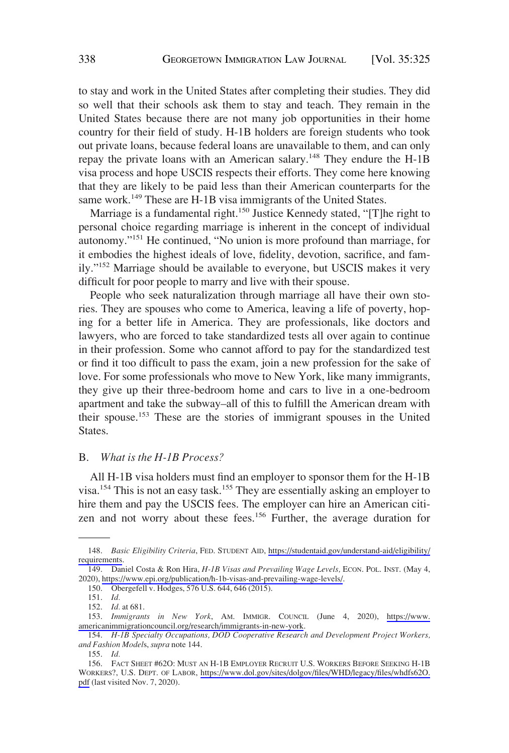<span id="page-13-0"></span>to stay and work in the United States after completing their studies. They did so well that their schools ask them to stay and teach. They remain in the United States because there are not many job opportunities in their home country for their field of study. H-1B holders are foreign students who took out private loans, because federal loans are unavailable to them, and can only repay the private loans with an American salary.<sup>148</sup> They endure the H-1B visa process and hope USCIS respects their efforts. They come here knowing that they are likely to be paid less than their American counterparts for the same work.<sup>149</sup> These are H-1B visa immigrants of the United States.

Marriage is a fundamental right.<sup>150</sup> Justice Kennedy stated, "[T]he right to personal choice regarding marriage is inherent in the concept of individual autonomy."151 He continued, "No union is more profound than marriage, for it embodies the highest ideals of love, fidelity, devotion, sacrifice, and family."152 Marriage should be available to everyone, but USCIS makes it very difficult for poor people to marry and live with their spouse.

People who seek naturalization through marriage all have their own stories. They are spouses who come to America, leaving a life of poverty, hoping for a better life in America. They are professionals, like doctors and lawyers, who are forced to take standardized tests all over again to continue in their profession. Some who cannot afford to pay for the standardized test or find it too difficult to pass the exam, join a new profession for the sake of love. For some professionals who move to New York, like many immigrants, they give up their three-bedroom home and cars to live in a one-bedroom apartment and take the subway–all of this to fulfill the American dream with their spouse.153 These are the stories of immigrant spouses in the United States.

#### B. *What is the H-1B Process?*

All H-1B visa holders must find an employer to sponsor them for the H-1B visa.154 This is not an easy task.155 They are essentially asking an employer to hire them and pay the USCIS fees. The employer can hire an American citizen and not worry about these fees.<sup>156</sup> Further, the average duration for

<sup>148.</sup> *Basic Eligibility Criteria*, FED. STUDENT AID, [https://studentaid.gov/understand-aid/eligibility/](https://studentaid.gov/understand-aid/eligibility/requirements) [requirements.](https://studentaid.gov/understand-aid/eligibility/requirements)

<sup>149.</sup> Daniel Costa & Ron Hira, *H-1B Visas and Prevailing Wage Levels,* ECON. POL. INST. (May 4, 2020),<https://www.epi.org/publication/h-1b-visas-and-prevailing-wage-levels/>.

<sup>150.</sup> Obergefell v. Hodges, 576 U.S. 644, 646 (2015).

<sup>151.</sup> *Id.* 

<sup>152.</sup> *Id.* at 681.

<sup>153.</sup> *Immigrants in New York*, AM. IMMIGR. COUNCIL (June 4, 2020), [https://www.](https://www.americanimmigrationcouncil.org/research/immigrants-in-new-york)  [americanimmigrationcouncil.org/research/immigrants-in-new-york](https://www.americanimmigrationcouncil.org/research/immigrants-in-new-york).

<sup>154.</sup> *H-1B Specialty Occupations, DOD Cooperative Research and Development Project Workers, and Fashion Model*s, *supra* note 144.

<sup>155.</sup> *Id.* 

<sup>156.</sup> FACT SHEET #62O: MUST AN H-1B EMPLOYER RECRUIT U.S. WORKERS BEFORE SEEKING H-1B WORKERS?, U.S. DEPT. OF LABOR, [https://www.dol.gov/sites/dolgov/files/WHD/legacy/files/whdfs62O.](https://www.dol.gov/sites/dolgov/files/WHD/legacy/files/whdfs62O.pdf) [pdf](https://www.dol.gov/sites/dolgov/files/WHD/legacy/files/whdfs62O.pdf) (last visited Nov. 7, 2020).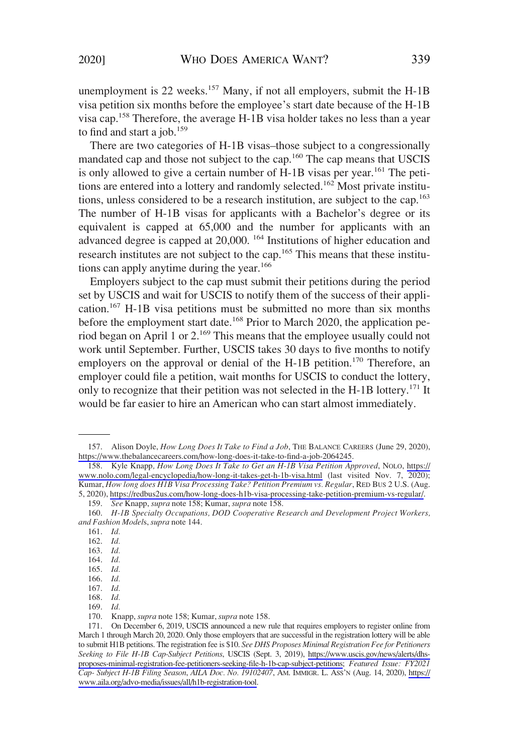unemployment is 22 weeks.<sup>157</sup> Many, if not all employers, submit the H-1B visa petition six months before the employee's start date because of the H-1B visa cap.158 Therefore, the average H-1B visa holder takes no less than a year to find and start a job. $159$ 

There are two categories of H-1B visas–those subject to a congressionally mandated cap and those not subject to the cap.<sup>160</sup> The cap means that USCIS is only allowed to give a certain number of  $H$ -1B visas per year.<sup>161</sup> The petitions are entered into a lottery and randomly selected.<sup>162</sup> Most private institutions, unless considered to be a research institution, are subject to the cap.163 The number of H-1B visas for applicants with a Bachelor's degree or its equivalent is capped at 65,000 and the number for applicants with an advanced degree is capped at 20,000. 164 Institutions of higher education and research institutes are not subject to the cap.<sup>165</sup> This means that these institutions can apply anytime during the year.<sup>166</sup>

Employers subject to the cap must submit their petitions during the period set by USCIS and wait for USCIS to notify them of the success of their application.167 H-1B visa petitions must be submitted no more than six months before the employment start date.<sup>168</sup> Prior to March 2020, the application period began on April 1 or 2.169 This means that the employee usually could not work until September. Further, USCIS takes 30 days to five months to notify employers on the approval or denial of the H-1B petition.<sup>170</sup> Therefore, an employer could file a petition, wait months for USCIS to conduct the lottery, only to recognize that their petition was not selected in the H-1B lottery.<sup>171</sup> It would be far easier to hire an American who can start almost immediately.

161. *Id.* 

163. *Id.* 

164. *Id.* 

168. *Id.* 

169. *Id.* 

<sup>157.</sup> Alison Doyle, *How Long Does It Take to Find a Job*, THE BALANCE CAREERS (June 29, 2020), <https://www.thebalancecareers.com/how-long-does-it-take-to-find-a-job-2064245>.

<sup>158.</sup> Kyle Knapp*, How Long Does It Take to Get an H-1B Visa Petition Approved*, NOLO, [https://](https://www.nolo.com/legal-encyclopedia/how-long-it-takes-get-h-1b-visa.html) [www.nolo.com/legal-encyclopedia/how-long-it-takes-get-h-1b-visa.html](https://www.nolo.com/legal-encyclopedia/how-long-it-takes-get-h-1b-visa.html) (last visited Nov. 7, 2020); Kumar, *How long does H1B Visa Processing Take? Petition Premium vs. Regular*, RED BUS 2 U.S. (Aug. 5, 2020), [https://redbus2us.com/how-long-does-h1b-visa-processing-take-petition-premium-vs-regular/.](https://redbus2us.com/how-long-does-h1b-visa-processing-take-petition-premium-vs-regular/)

<sup>159.</sup> *See* Knapp, *supra* note 158; Kumar, *supra* note 158.

<sup>160.</sup> *H-1B Specialty Occupations, DOD Cooperative Research and Development Project Workers, and Fashion Model*s, *supra* note 144.

<sup>162.</sup> *Id.* 

<sup>165.</sup> *Id.* 

<sup>166.</sup> *Id.* 

<sup>167.</sup> *Id.* 

<sup>170.</sup> Knapp, *supra* note 158; Kumar, *supra* note 158.

<sup>171.</sup> On December 6, 2019, USCIS announced a new rule that requires employers to register online from March 1 through March 20, 2020. Only those employers that are successful in the registration lottery will be able to submit H1B petitions. The registration fee is \$10. *See DHS Proposes Minimal Registration Fee for Petitioners Seeking to File H-1B Cap-Subject Petitions*, USCIS (Sept. 3, 2019), [https://www.uscis.gov/news/alerts/dhs](https://www.uscis.gov/news/alerts/dhs-proposes-minimal-registration-fee-petitioners-seeking-file-h-1b-cap-subject-petitions)[proposes-minimal-registration-fee-petitioners-seeking-file-h-1b-cap-subject-petitions](https://www.uscis.gov/news/alerts/dhs-proposes-minimal-registration-fee-petitioners-seeking-file-h-1b-cap-subject-petitions); *Featured Issue: FY2021 Cap- Subject H-1B Filing Season*, *AILA Doc. No. 19102407*, AM. IMMIGR. L. ASS'N (Aug. 14, 2020), [https://](https://www.aila.org/advo-media/issues/all/h1b-registration-tool)  [www.aila.org/advo-media/issues/all/h1b-registration-tool](https://www.aila.org/advo-media/issues/all/h1b-registration-tool).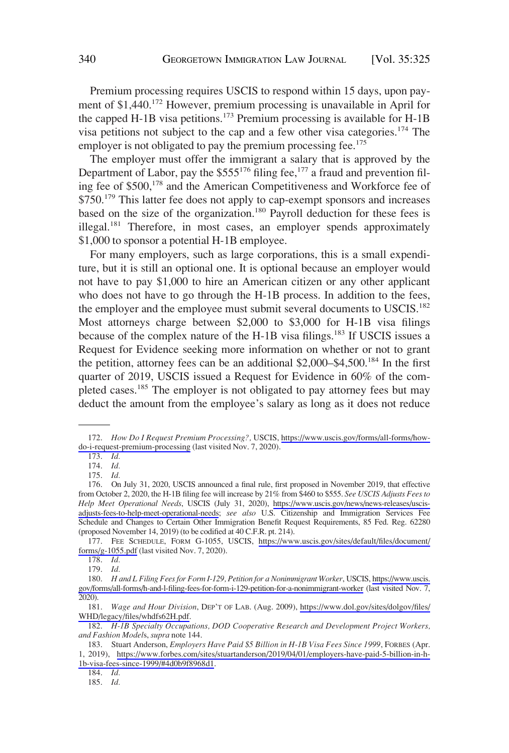Premium processing requires USCIS to respond within 15 days, upon payment of \$1,440.<sup>172</sup> However, premium processing is unavailable in April for the capped H-1B visa petitions.<sup>173</sup> Premium processing is available for H-1B visa petitions not subject to the cap and a few other visa categories.174 The employer is not obligated to pay the premium processing fee.<sup>175</sup>

The employer must offer the immigrant a salary that is approved by the Department of Labor, pay the  $$555^{176}$  filing fee,  $^{177}$  a fraud and prevention filing fee of \$500,178 and the American Competitiveness and Workforce fee of \$750.<sup>179</sup> This latter fee does not apply to cap-exempt sponsors and increases based on the size of the organization.<sup>180</sup> Payroll deduction for these fees is illegal.<sup>181</sup> Therefore, in most cases, an employer spends approximately \$1,000 to sponsor a potential H-1B employee.

For many employers, such as large corporations, this is a small expenditure, but it is still an optional one. It is optional because an employer would not have to pay \$1,000 to hire an American citizen or any other applicant who does not have to go through the H-1B process. In addition to the fees, the employer and the employee must submit several documents to USCIS.<sup>182</sup> Most attorneys charge between \$2,000 to \$3,000 for H-1B visa filings because of the complex nature of the H-1B visa filings.<sup>183</sup> If USCIS issues a Request for Evidence seeking more information on whether or not to grant the petition, attorney fees can be an additional  $$2,000–$4,500<sup>184</sup>$  In the first quarter of 2019, USCIS issued a Request for Evidence in 60% of the completed cases.185 The employer is not obligated to pay attorney fees but may deduct the amount from the employee's salary as long as it does not reduce

<sup>172.</sup> *How Do I Request Premium Processing?,* USCIS, [https://www.uscis.gov/forms/all-forms/how](https://www.uscis.gov/forms/all-forms/how-do-i-request-premium-processing)[do-i-request-premium-processing](https://www.uscis.gov/forms/all-forms/how-do-i-request-premium-processing) (last visited Nov. 7, 2020).

<sup>173.</sup> *Id.* 

<sup>174.</sup> *Id.* 

<sup>175.</sup> *Id.* 

<sup>176.</sup> On July 31, 2020, USCIS announced a final rule, first proposed in November 2019, that effective from October 2, 2020, the H-1B filing fee will increase by 21% from \$460 to \$555. *See USCIS Adjusts Fees to Help Meet Operational Needs*, USCIS (July 31, 2020), [https://www.uscis.gov/news/news-releases/uscis](https://www.uscis.gov/news/news-releases/uscis-adjusts-fees-to-help-meet-operational-needs)[adjusts-fees-to-help-meet-operational-needs](https://www.uscis.gov/news/news-releases/uscis-adjusts-fees-to-help-meet-operational-needs); *see also* U.S. Citizenship and Immigration Services Fee Schedule and Changes to Certain Other Immigration Benefit Request Requirements, 85 Fed. Reg. 62280 (proposed November 14, 2019) (to be codified at 40 C.F.R. pt. 214).

<sup>177.</sup> FEE SCHEDULE, FORM G-1055, USCIS, [https://www.uscis.gov/sites/default/files/document/](https://www.uscis.gov/sites/default/files/document/forms/g-1055.pdf)  [forms/g-1055.pdf](https://www.uscis.gov/sites/default/files/document/forms/g-1055.pdf) (last visited Nov. 7, 2020).

<sup>178.</sup> *Id.* 

<sup>179.</sup> *Id.* 

<sup>180.</sup> *H and L Filing Fees for Form I-129, Petition for a Nonimmigrant Worker*, USCIS, [https://www.uscis.](https://www.uscis.gov/forms/all-forms/h-and-l-filing-fees-for-form-i-129-petition-for-a-nonimmigrant-worker)  [gov/forms/all-forms/h-and-l-filing-fees-for-form-i-129-petition-for-a-nonimmigrant-worker](https://www.uscis.gov/forms/all-forms/h-and-l-filing-fees-for-form-i-129-petition-for-a-nonimmigrant-worker) (last visited Nov. 7, 2020).

<sup>181.</sup> *Wage and Hour Division*, DEP'T OF LAB. (Aug. 2009), [https://www.dol.gov/sites/dolgov/files/](https://www.dol.gov/sites/dolgov/files/WHD/legacy/files/whdfs62H.pdf) [WHD/legacy/files/whdfs62H.pdf.](https://www.dol.gov/sites/dolgov/files/WHD/legacy/files/whdfs62H.pdf)

<sup>182.</sup> *H-1B Specialty Occupations, DOD Cooperative Research and Development Project Workers, and Fashion Model*s, *supra* note 144.

<sup>183.</sup> Stuart Anderson, *Employers Have Paid \$5 Billion in H-1B Visa Fees Since 1999*, FORBES (Apr. 1, 2019), [https://www.forbes.com/sites/stuartanderson/2019/04/01/employers-have-paid-5-billion-in-h-](https://www.forbes.com/sites/stuartanderson/2019/04/01/employers-have-paid-5-billion-in-h-1b-visa-fees-since-1999/#4d0b9f8968d1)[1b-visa-fees-since-1999/#4d0b9f8968d1](https://www.forbes.com/sites/stuartanderson/2019/04/01/employers-have-paid-5-billion-in-h-1b-visa-fees-since-1999/#4d0b9f8968d1).

<sup>184.</sup> *Id.* 

<sup>185.</sup> *Id.*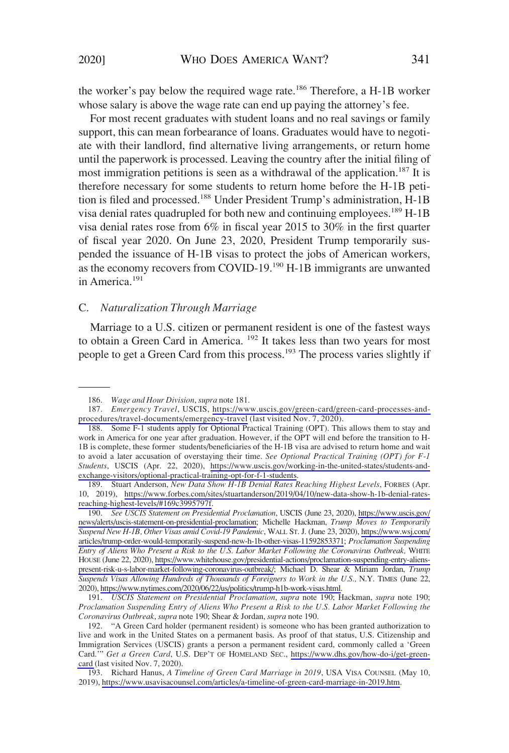<span id="page-16-0"></span>the worker's pay below the required wage rate.<sup>186</sup> Therefore, a H-1B worker whose salary is above the wage rate can end up paying the attorney's fee.

For most recent graduates with student loans and no real savings or family support, this can mean forbearance of loans. Graduates would have to negotiate with their landlord, find alternative living arrangements, or return home until the paperwork is processed. Leaving the country after the initial filing of most immigration petitions is seen as a withdrawal of the application.<sup>187</sup> It is therefore necessary for some students to return home before the H-1B petition is filed and processed.<sup>188</sup> Under President Trump's administration, H-1B visa denial rates quadrupled for both new and continuing employees.<sup>189</sup> H-1B visa denial rates rose from 6% in fiscal year 2015 to 30% in the first quarter of fiscal year 2020. On June 23, 2020, President Trump temporarily suspended the issuance of H-1B visas to protect the jobs of American workers, as the economy recovers from COVID-19.<sup>190</sup> H-1B immigrants are unwanted in America.<sup>191</sup>

### C. *Naturalization Through Marriage*

Marriage to a U.S. citizen or permanent resident is one of the fastest ways to obtain a Green Card in America. <sup>192</sup> It takes less than two years for most people to get a Green Card from this process.<sup>193</sup> The process varies slightly if

<sup>186.</sup> *Wage and Hour Division*, *supra* note 181.

<sup>187.</sup> *Emergency Travel*, USCIS, [https://www.uscis.gov/green-card/green-card-processes-and](https://www.uscis.gov/green-card/green-card-processes-and-procedures/travel-documents/emergency-travel)[procedures/travel-documents/emergency-travel](https://www.uscis.gov/green-card/green-card-processes-and-procedures/travel-documents/emergency-travel) (last visited Nov. 7, 2020).

<sup>188.</sup> Some F-1 students apply for Optional Practical Training (OPT). This allows them to stay and work in America for one year after graduation. However, if the OPT will end before the transition to H-1B is complete, these former students/beneficiaries of the H-1B visa are advised to return home and wait to avoid a later accusation of overstaying their time. *See Optional Practical Training (OPT) for F-1 Students*, USCIS (Apr. 22, 2020), [https://www.uscis.gov/working-in-the-united-states/students-and](https://www.uscis.gov/working-in-the-united-states/students-and-exchange-visitors/optional-practical-training-opt-for-f-1-students)[exchange-visitors/optional-practical-training-opt-for-f-1-students](https://www.uscis.gov/working-in-the-united-states/students-and-exchange-visitors/optional-practical-training-opt-for-f-1-students).

<sup>189.</sup> Stuart Anderson, *New Data Show H-1B Denial Rates Reaching Highest Levels*, FORBES (Apr. 10, 2019), [https://www.forbes.com/sites/stuartanderson/2019/04/10/new-data-show-h-1b-denial-rates](https://www.forbes.com/sites/stuartanderson/2019/04/10/new-data-show-h-1b-denial-rates-reaching-highest-levels/#169c3995797f)[reaching-highest-levels/#169c3995797f](https://www.forbes.com/sites/stuartanderson/2019/04/10/new-data-show-h-1b-denial-rates-reaching-highest-levels/#169c3995797f).

<sup>190.</sup> *See USCIS Statement on Presidential Proclamation*, USCIS (June 23, 2020), [https://www.uscis.gov/](https://www.uscis.gov/news/alerts/uscis-statement-on-presidential-proclamation)  [news/alerts/uscis-statement-on-presidential-proclamation;](https://www.uscis.gov/news/alerts/uscis-statement-on-presidential-proclamation) Michelle Hackman, *Trump Moves to Temporarily Suspend New H-1B, Other Visas amid Covid-19 Pandemic*, WALL ST. J. (June 23, 2020), [https://www.wsj.com/](https://www.wsj.com/articles/trump-order-would-temporarily-suspend-new-h-1b-other-visas-11592853371)  [articles/trump-order-would-temporarily-suspend-new-h-1b-other-visas-11592853371;](https://www.wsj.com/articles/trump-order-would-temporarily-suspend-new-h-1b-other-visas-11592853371) *Proclamation Suspending Entry of Aliens Who Present a Risk to the U.S. Labor Market Following the Coronavirus Outbreak,* WHITE HOUSE (June 22, 2020), [https://www.whitehouse.gov/presidential-actions/proclamation-suspending-entry-aliens](https://www.whitehouse.gov/presidential-actions/proclamation-suspending-entry-aliens-present-risk-u-s-labor-market-following-coronavirus-outbreak/)[present-risk-u-s-labor-market-following-coronavirus-outbreak/](https://www.whitehouse.gov/presidential-actions/proclamation-suspending-entry-aliens-present-risk-u-s-labor-market-following-coronavirus-outbreak/); Michael D. Shear & Miriam Jordan, *Trump Suspends Visas Allowing Hundreds of Thousands of Foreigners to Work in the U.S.,* N.Y. TIMES (June 22, 2020),<https://www.nytimes.com/2020/06/22/us/politics/trump-h1b-work-visas.html>.

<sup>191.</sup> *USCIS Statement on Presidential Proclamation*, *supra* note 190; Hackman, *supra* note 190; *Proclamation Suspending Entry of Aliens Who Present a Risk to the U.S. Labor Market Following the Coronavirus Outbreak*, *supra* note 190; Shear & Jordan, *supra* note 190.

<sup>192.</sup> "A Green Card holder (permanent resident) is someone who has been granted authorization to live and work in the United States on a permanent basis. As proof of that status, U.S. Citizenship and Immigration Services (USCIS) grants a person a permanent resident card, commonly called a 'Green Card.'" *Get a Green Card*, U.S. DEP'T OF HOMELAND SEC., [https://www.dhs.gov/how-do-i/get-green](https://www.dhs.gov/how-do-i/get-green-card)[card](https://www.dhs.gov/how-do-i/get-green-card) (last visited Nov. 7, 2020).

<sup>193.</sup> Richard Hanus, *A Timeline of Green Card Marriage in 2019*, USA VISA COUNSEL (May 10, 2019),<https://www.usavisacounsel.com/articles/a-timeline-of-green-card-marriage-in-2019.htm>.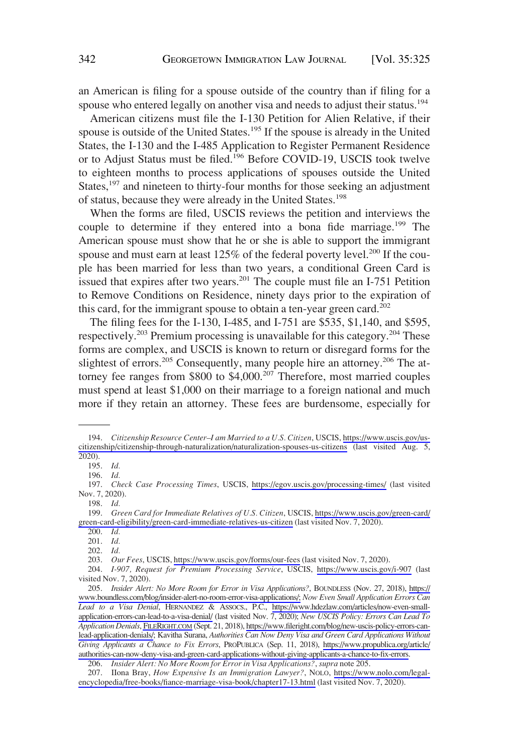an American is filing for a spouse outside of the country than if filing for a spouse who entered legally on another visa and needs to adjust their status.<sup>194</sup>

American citizens must file the I-130 Petition for Alien Relative, if their spouse is outside of the United States.<sup>195</sup> If the spouse is already in the United States, the I-130 and the I-485 Application to Register Permanent Residence or to Adjust Status must be filed.<sup>196</sup> Before COVID-19, USCIS took twelve to eighteen months to process applications of spouses outside the United States,<sup>197</sup> and nineteen to thirty-four months for those seeking an adjustment of status, because they were already in the United States.<sup>198</sup>

When the forms are filed, USCIS reviews the petition and interviews the couple to determine if they entered into a bona fide marriage.<sup>199</sup> The American spouse must show that he or she is able to support the immigrant spouse and must earn at least  $125\%$  of the federal poverty level.<sup>200</sup> If the couple has been married for less than two years, a conditional Green Card is issued that expires after two years.201 The couple must file an I-751 Petition to Remove Conditions on Residence, ninety days prior to the expiration of this card, for the immigrant spouse to obtain a ten-year green card.<sup>202</sup>

The filing fees for the I-130, I-485, and I-751 are \$535, \$1,140, and \$595, respectively.<sup>203</sup> Premium processing is unavailable for this category.<sup>204</sup> These forms are complex, and USCIS is known to return or disregard forms for the slightest of errors.<sup>205</sup> Consequently, many people hire an attorney.<sup>206</sup> The attorney fee ranges from  $$800$  to  $$4,000$ .<sup>207</sup> Therefore, most married couples must spend at least \$1,000 on their marriage to a foreign national and much more if they retain an attorney. These fees are burdensome, especially for

203. *Our Fees*, USCIS,<https://www.uscis.gov/forms/our-fees>(last visited Nov. 7, 2020).

<sup>194.</sup> *Citizenship Resource Center–I am Married to a U.S. Citizen*, USCIS, [https://www.uscis.gov/us](https://www.uscis.gov/us-citizenship/citizenship-through-naturalization/naturalization-spouses-us-citizens)[citizenship/citizenship-through-naturalization/naturalization-spouses-us-citizens](https://www.uscis.gov/us-citizenship/citizenship-through-naturalization/naturalization-spouses-us-citizens) (last visited Aug. 5, 2020).

<sup>195.</sup> *Id.* 

<sup>196.</sup> *Id.* 

<sup>197.</sup> *Check Case Processing Times*, USCIS, <https://egov.uscis.gov/processing-times/>(last visited Nov. 7, 2020).

<sup>198.</sup> *Id.* 

<sup>199.</sup> *Green Card for Immediate Relatives of U.S. Citizen*, USCIS, [https://www.uscis.gov/green-card/](https://www.uscis.gov/green-card/green-card-eligibility/green-card-immediate-relatives-us-citizen) [green-card-eligibility/green-card-immediate-relatives-us-citizen](https://www.uscis.gov/green-card/green-card-eligibility/green-card-immediate-relatives-us-citizen) (last visited Nov. 7, 2020).

<sup>200.</sup> *Id.* 

<sup>201.</sup> *Id.* 

<sup>202.</sup> *Id.* 

<sup>204.</sup> *I-907, Request for Premium Processing Service*, USCIS, <https://www.uscis.gov/i-907> (last visited Nov. 7, 2020).

<sup>205.</sup> *Insider Alert: No More Room for Error in Visa Applications?*, BOUNDLESS (Nov. 27, 2018), [https://](https://www.boundless.com/blog/insider-alert-no-room-error-visa-applications/)  [www.boundless.com/blog/insider-alert-no-room-error-visa-applications/;](https://www.boundless.com/blog/insider-alert-no-room-error-visa-applications/) *Now Even Small Application Errors Can Lead to a Visa Denial*, HERNANDEZ & ASSOCS., P.C., [https://www.hdezlaw.com/articles/now-even-small](https://www.hdezlaw.com/articles/now-even-small-application-errors-can-lead-to-a-visa-denial/)[application-errors-can-lead-to-a-visa-denial/](https://www.hdezlaw.com/articles/now-even-small-application-errors-can-lead-to-a-visa-denial/) (last visited Nov. 7, 2020); *New USCIS Policy: Errors Can Lead To Application Denials*, [FILERIGHT.COM](http://www.FILERIGHT.COM) (Sept. 21, 2018), [https://www.fileright.com/blog/new-uscis-policy-errors-can](https://www.fileright.com/blog/new-uscis-policy-errors-can-lead-application-denials/)[lead-application-denials/](https://www.fileright.com/blog/new-uscis-policy-errors-can-lead-application-denials/); Kavitha Surana, *Authorities Can Now Deny Visa and Green Card Applications Without Giving Applicants a Chance to Fix Errors*, PROPUBLICA (Sep. 11, 2018), [https://www.propublica.org/article/](https://www.propublica.org/article/authorities-can-now-deny-visa-and-green-card-applications-without-giving-applicants-a-chance-to-fix-errors)  [authorities-can-now-deny-visa-and-green-card-applications-without-giving-applicants-a-chance-to-fix-errors](https://www.propublica.org/article/authorities-can-now-deny-visa-and-green-card-applications-without-giving-applicants-a-chance-to-fix-errors).

<sup>206.</sup> *Insider Alert: No More Room for Error in Visa Applications?*, *supra* note 205.

<sup>207.</sup> IIona Bray, *How Expensive Is an Immigration Lawyer?*, NOLO, [https://www.nolo.com/legal](https://www.nolo.com/legal-encyclopedia/free-books/fiance-marriage-visa-book/chapter17-13.html)[encyclopedia/free-books/fiance-marriage-visa-book/chapter17-13.html](https://www.nolo.com/legal-encyclopedia/free-books/fiance-marriage-visa-book/chapter17-13.html) (last visited Nov. 7, 2020).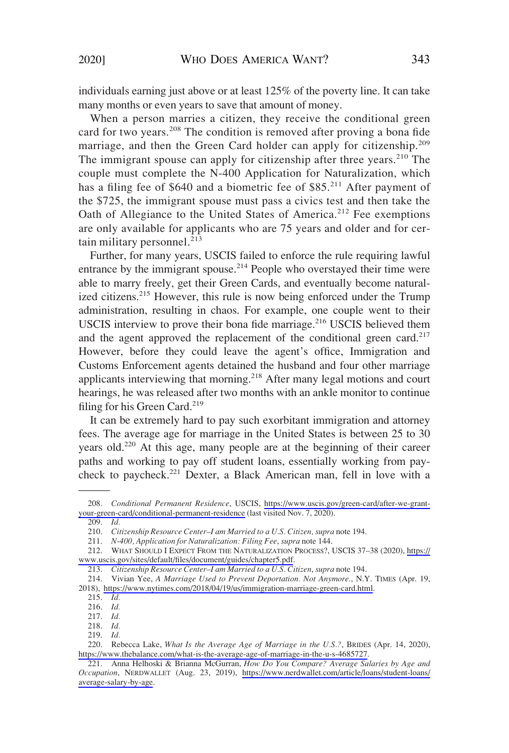individuals earning just above or at least 125% of the poverty line. It can take many months or even years to save that amount of money.

When a person marries a citizen, they receive the conditional green card for two years.<sup>208</sup> The condition is removed after proving a bona fide marriage, and then the Green Card holder can apply for citizenship.<sup>209</sup> The immigrant spouse can apply for citizenship after three years.<sup>210</sup> The couple must complete the N-400 Application for Naturalization, which has a filing fee of \$640 and a biometric fee of \$85.<sup>211</sup> After payment of the \$725, the immigrant spouse must pass a civics test and then take the Oath of Allegiance to the United States of America.<sup>212</sup> Fee exemptions are only available for applicants who are 75 years and older and for certain military personnel. $213$ 

Further, for many years, USCIS failed to enforce the rule requiring lawful entrance by the immigrant spouse.<sup>214</sup> People who overstayed their time were able to marry freely, get their Green Cards, and eventually become naturalized citizens.<sup>215</sup> However, this rule is now being enforced under the Trump administration, resulting in chaos. For example, one couple went to their USCIS interview to prove their bona fide marriage.<sup>216</sup> USCIS believed them and the agent approved the replacement of the conditional green card. $2^{17}$ However, before they could leave the agent's office, Immigration and Customs Enforcement agents detained the husband and four other marriage applicants interviewing that morning.<sup>218</sup> After many legal motions and court hearings, he was released after two months with an ankle monitor to continue filing for his Green Card.<sup>219</sup>

It can be extremely hard to pay such exorbitant immigration and attorney fees. The average age for marriage in the United States is between 25 to 30 years old.<sup>220</sup> At this age, many people are at the beginning of their career paths and working to pay off student loans, essentially working from paycheck to paycheck.<sup>221</sup> Dexter, a Black American man, fell in love with a

<sup>208.</sup> *Conditional Permanent Residence*, USCIS, [https://www.uscis.gov/green-card/after-we-grant](https://www.uscis.gov/green-card/after-we-grant-your-green-card/conditional-permanent-residence)[your-green-card/conditional-permanent-residence](https://www.uscis.gov/green-card/after-we-grant-your-green-card/conditional-permanent-residence) (last visited Nov. 7, 2020).

<sup>209.</sup> *Id.* 

<sup>210.</sup> *Citizenship Resource Center–I am Married to a U.S. Citizen, supra* note 194.

<sup>211.</sup> *N-400, Application for Naturalization: Filing Fee*, *supra* note 144.

<sup>212.</sup> WHAT SHOULD I EXPECT FROM THE NATURALIZATION PROCESS?, USCIS 37–38 (2020), [https://](https://www.uscis.gov/sites/default/files/document/guides/chapter5.pdf) [www.uscis.gov/sites/default/files/document/guides/chapter5.pdf.](https://www.uscis.gov/sites/default/files/document/guides/chapter5.pdf)

<sup>213.</sup> *Citizenship Resource Center–I am Married to a U.S. Citizen*, *supra* note 194.

<sup>214.</sup> Vivian Yee, *A Marriage Used to Prevent Deportation. Not Anymore.*, N.Y. TIMES (Apr. 19, 2018), <https://www.nytimes.com/2018/04/19/us/immigration-marriage-green-card.html>.

<sup>215.</sup> *Id.* 

<sup>216.</sup> *Id.* 

<sup>217.</sup> *Id.* 

<sup>218.</sup> *Id.* 

<sup>219.</sup> *Id.* 

<sup>220.</sup> Rebecca Lake, *What Is the Average Age of Marriage in the U.S.?*, BRIDES (Apr. 14, 2020), [https://www.thebalance.com/what-is-the-average-age-of-marriage-in-the-u-s-4685727.](https://www.thebalance.com/what-is-the-average-age-of-marriage-in-the-u-s-4685727)

<sup>221.</sup> Anna Helhoski & Brianna McGurran, *How Do You Compare? Average Salaries by Age and Occupation*, NERDWALLET (Aug. 23, 2019), [https://www.nerdwallet.com/article/loans/student-loans/](https://www.nerdwallet.com/article/loans/student-loans/average-salary-by-age) [average-salary-by-age](https://www.nerdwallet.com/article/loans/student-loans/average-salary-by-age).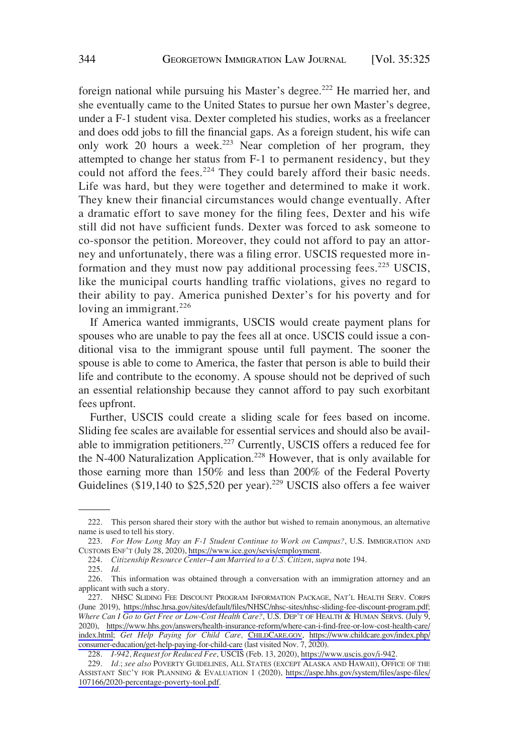foreign national while pursuing his Master's degree.<sup>222</sup> He married her, and she eventually came to the United States to pursue her own Master's degree, under a F-1 student visa. Dexter completed his studies, works as a freelancer and does odd jobs to fill the financial gaps. As a foreign student, his wife can only work 20 hours a week.<sup>223</sup> Near completion of her program, they attempted to change her status from F-1 to permanent residency, but they could not afford the fees.<sup>224</sup> They could barely afford their basic needs. Life was hard, but they were together and determined to make it work. They knew their financial circumstances would change eventually. After a dramatic effort to save money for the filing fees, Dexter and his wife still did not have sufficient funds. Dexter was forced to ask someone to co-sponsor the petition. Moreover, they could not afford to pay an attorney and unfortunately, there was a filing error. USCIS requested more information and they must now pay additional processing fees.<sup>225</sup> USCIS, like the municipal courts handling traffic violations, gives no regard to their ability to pay. America punished Dexter's for his poverty and for loving an immigrant. $226$ 

If America wanted immigrants, USCIS would create payment plans for spouses who are unable to pay the fees all at once. USCIS could issue a conditional visa to the immigrant spouse until full payment. The sooner the spouse is able to come to America, the faster that person is able to build their life and contribute to the economy. A spouse should not be deprived of such an essential relationship because they cannot afford to pay such exorbitant fees upfront.

Further, USCIS could create a sliding scale for fees based on income. Sliding fee scales are available for essential services and should also be available to immigration petitioners.<sup>227</sup> Currently, USCIS offers a reduced fee for the N-400 Naturalization Application.<sup>228</sup> However, that is only available for those earning more than 150% and less than 200% of the Federal Poverty Guidelines (\$19,140 to \$25,520 per year).<sup>229</sup> USCIS also offers a fee waiver

<sup>222.</sup> This person shared their story with the author but wished to remain anonymous, an alternative name is used to tell his story.

<sup>223.</sup> *For How Long May an F-1 Student Continue to Work on Campus?*, U.S. IMMIGRATION AND CUSTOMS ENF'T (July 28, 2020),<https://www.ice.gov/sevis/employment>.

<sup>224.</sup> *Citizenship Resource Center–I am Married to a U.S. Citizen*, *supra* note 194.

<sup>225.</sup> *Id.* 

<sup>226.</sup> This information was obtained through a conversation with an immigration attorney and an applicant with such a story.

<sup>227.</sup> NHSC SLIDING FEE DISCOUNT PROGRAM INFORMATION PACKAGE, NAT'L HEALTH SERV. CORPS (June 2019), [https://nhsc.hrsa.gov/sites/default/files/NHSC/nhsc-sites/nhsc-sliding-fee-discount-program.pdf;](https://nhsc.hrsa.gov/sites/default/files/NHSC/nhsc-sites/nhsc-sliding-fee-discount-program.pdf) *Where Can I Go to Get Free or Low-Cost Health Care?*, U.S. DEP'T OF HEALTH & HUMAN SERVS. (July 9, 2020), [https://www.hhs.gov/answers/health-insurance-reform/where-can-i-find-free-or-low-cost-health-care/](https://www.hhs.gov/answers/health-insurance-reform/where-can-i-find-free-or-low-cost-health-care/index.html)  [index.html;](https://www.hhs.gov/answers/health-insurance-reform/where-can-i-find-free-or-low-cost-health-care/index.html) *Get Help Paying for Child Care,* [CHILDCARE.GOV,](https://www.Childcare.Gov) [https://www.childcare.gov/index.php/](https://www.childcare.gov/index.php/consumer-education/get-help-paying-for-child-care)  [consumer-education/get-help-paying-for-child-care](https://www.childcare.gov/index.php/consumer-education/get-help-paying-for-child-care) (last visited Nov. 7, 2020).

<sup>228.</sup> *I-942, Request for Reduced Fee*, USCIS (Feb. 13, 2020), [https://www.uscis.gov/i-942.](https://www.uscis.gov/i-942)

<sup>229.</sup> *Id.*; *see also* POVERTY GUIDELINES, ALL STATES (EXCEPT ALASKA AND HAWAII), OFFICE OF THE ASSISTANT SEC'Y FOR PLANNING & EVALUATION 1 (2020), [https://aspe.hhs.gov/system/files/aspe-files/](https://aspe.hhs.gov/system/files/aspe-files/107166/2020-percentage-poverty-tool.pdf) [107166/2020-percentage-poverty-tool.pdf](https://aspe.hhs.gov/system/files/aspe-files/107166/2020-percentage-poverty-tool.pdf).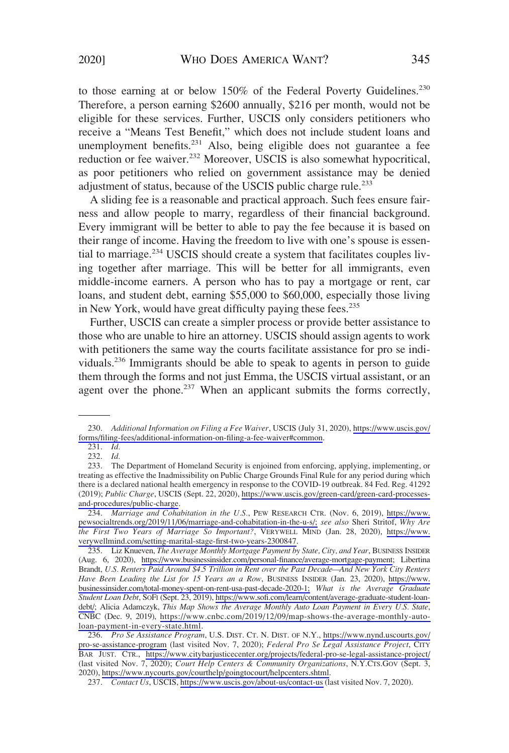to those earning at or below 150% of the Federal Poverty Guidelines.<sup>230</sup> Therefore, a person earning \$2600 annually, \$216 per month, would not be eligible for these services. Further, USCIS only considers petitioners who receive a "Means Test Benefit," which does not include student loans and unemployment benefits.<sup>231</sup> Also, being eligible does not guarantee a fee reduction or fee waiver.<sup>232</sup> Moreover, USCIS is also somewhat hypocritical, as poor petitioners who relied on government assistance may be denied adjustment of status, because of the USCIS public charge rule.<sup>233</sup>

A sliding fee is a reasonable and practical approach. Such fees ensure fairness and allow people to marry, regardless of their financial background. Every immigrant will be better to able to pay the fee because it is based on their range of income. Having the freedom to live with one's spouse is essential to marriage.<sup>234</sup> USCIS should create a system that facilitates couples living together after marriage. This will be better for all immigrants, even middle-income earners. A person who has to pay a mortgage or rent, car loans, and student debt, earning \$55,000 to \$60,000, especially those living in New York, would have great difficulty paying these fees.<sup>235</sup>

Further, USCIS can create a simpler process or provide better assistance to those who are unable to hire an attorney. USCIS should assign agents to work with petitioners the same way the courts facilitate assistance for pro se individuals.<sup>236</sup> Immigrants should be able to speak to agents in person to guide them through the forms and not just Emma, the USCIS virtual assistant, or an agent over the phone.<sup>237</sup> When an applicant submits the forms correctly,

<sup>230.</sup> *Additional Information on Filing a Fee Waiver*, USCIS (July 31, 2020), [https://www.uscis.gov/](https://www.uscis.gov/forms/filing-fees/additional-information-on-filing-a-fee-waiver#common) [forms/filing-fees/additional-information-on-filing-a-fee-waiver#common](https://www.uscis.gov/forms/filing-fees/additional-information-on-filing-a-fee-waiver#common).

<sup>231.</sup> *Id.* 

<sup>232.</sup> *Id.* 

<sup>233.</sup> The Department of Homeland Security is enjoined from enforcing, applying, implementing, or treating as effective the Inadmissibility on Public Charge Grounds Final Rule for any period during which there is a declared national health emergency in response to the COVID-19 outbreak. 84 Fed. Reg. 41292 (2019); *Public Charge*, USCIS (Sept. 22, 2020), [https://www.uscis.gov/green-card/green-card-processes](https://www.uscis.gov/green-card/green-card-processes-and-procedures/public-charge)[and-procedures/public-charge.](https://www.uscis.gov/green-card/green-card-processes-and-procedures/public-charge)

<sup>234.</sup> *Marriage and Cohabitation in the U.S.*, PEW RESEARCH CTR. (Nov. 6, 2019), [https://www.](https://www.pewsocialtrends.org/2019/11/06/marriage-and-cohabitation-in-the-u-s/)  [pewsocialtrends.org/2019/11/06/marriage-and-cohabitation-in-the-u-s/;](https://www.pewsocialtrends.org/2019/11/06/marriage-and-cohabitation-in-the-u-s/) *see also* Sheri Stritof, *Why Are the First Two Years of Marriage So Important?*, VERYWELL MIND (Jan. 28, 2020), [https://www.](https://www.verywellmind.com/setting-marital-stage-first-two-years-2300847)  [verywellmind.com/setting-marital-stage-first-two-years-2300847](https://www.verywellmind.com/setting-marital-stage-first-two-years-2300847).

<sup>235.</sup> Liz Knueven, *The Average Monthly Mortgage Payment by State, City, and Year*, BUSINESS INSIDER (Aug. 6, 2020), <https://www.businessinsider.com/personal-finance/average-mortgage-payment>; Libertina Brandt, *U.S. Renters Paid Around \$4.5 Trillion in Rent over the Past Decade—And New York City Renters Have Been Leading the List for 15 Years an a Row*, BUSINESS INSIDER (Jan. 23, 2020), [https://www.](https://www.businessinsider.com/total-money-spent-on-rent-usa-past-decade-2020-1)  [businessinsider.com/total-money-spent-on-rent-usa-past-decade-2020-1;](https://www.businessinsider.com/total-money-spent-on-rent-usa-past-decade-2020-1) *What is the Average Graduate Student Loan Debt*, SOFI (Sept. 23, 2019), [https://www.sofi.com/learn/content/average-graduate-student-loan](https://www.sofi.com/learn/content/average-graduate-student-loan-debt/)[debt/](https://www.sofi.com/learn/content/average-graduate-student-loan-debt/); Alicia Adamczyk, *This Map Shows the Average Monthly Auto Loan Payment in Every U.S. State*, CNBC (Dec. 9, 2019), [https://www.cnbc.com/2019/12/09/map-shows-the-average-monthly-auto](https://www.cnbc.com/2019/12/09/map-shows-the-average-monthly-auto-loan-payment-in-every-state.html)[loan-payment-in-every-state.html](https://www.cnbc.com/2019/12/09/map-shows-the-average-monthly-auto-loan-payment-in-every-state.html).

<sup>236.</sup> *Pro Se Assistance Program*, U.S. DIST. CT. N. DIST. OF N.Y., [https://www.nynd.uscourts.gov/](https://www.nynd.uscourts.gov/pro-se-assistance-program) [pro-se-assistance-program](https://www.nynd.uscourts.gov/pro-se-assistance-program) (last visited Nov. 7, 2020); *Federal Pro Se Legal Assistance Project*, CITY BAR JUST. CTR., <https://www.citybarjusticecenter.org/projects/federal-pro-se-legal-assistance-project/> (last visited Nov. 7, 2020); *Court Help Centers & Community Organizations*, N.Y.CTS.GOV (Sept. 3, 2020),<https://www.nycourts.gov/courthelp/goingtocourt/helpcenters.shtml>.

<sup>237.</sup> *Contact Us*, USCIS,<https://www.uscis.gov/about-us/contact-us>(last visited Nov. 7, 2020).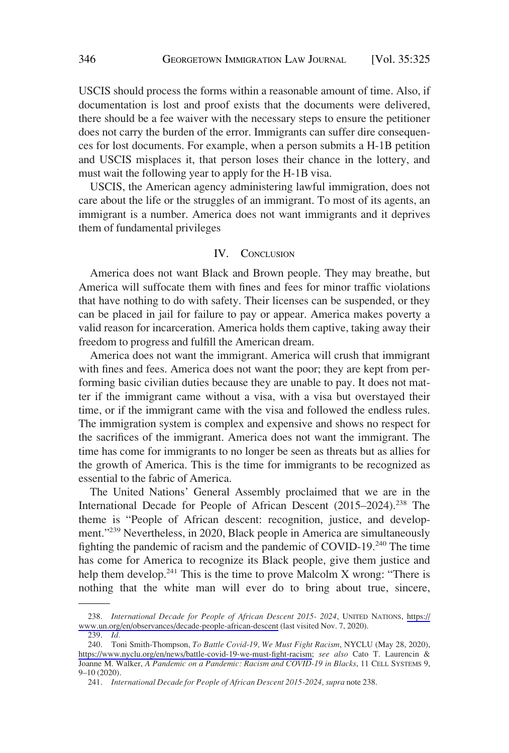<span id="page-21-0"></span>USCIS should process the forms within a reasonable amount of time. Also, if documentation is lost and proof exists that the documents were delivered, there should be a fee waiver with the necessary steps to ensure the petitioner does not carry the burden of the error. Immigrants can suffer dire consequences for lost documents. For example, when a person submits a H-1B petition and USCIS misplaces it, that person loses their chance in the lottery, and must wait the following year to apply for the H-1B visa.

USCIS, the American agency administering lawful immigration, does not care about the life or the struggles of an immigrant. To most of its agents, an immigrant is a number. America does not want immigrants and it deprives them of fundamental privileges

### IV. CONCLUSION

America does not want Black and Brown people. They may breathe, but America will suffocate them with fines and fees for minor traffic violations that have nothing to do with safety. Their licenses can be suspended, or they can be placed in jail for failure to pay or appear. America makes poverty a valid reason for incarceration. America holds them captive, taking away their freedom to progress and fulfill the American dream.

America does not want the immigrant. America will crush that immigrant with fines and fees. America does not want the poor; they are kept from performing basic civilian duties because they are unable to pay. It does not matter if the immigrant came without a visa, with a visa but overstayed their time, or if the immigrant came with the visa and followed the endless rules. The immigration system is complex and expensive and shows no respect for the sacrifices of the immigrant. America does not want the immigrant. The time has come for immigrants to no longer be seen as threats but as allies for the growth of America. This is the time for immigrants to be recognized as essential to the fabric of America.

The United Nations' General Assembly proclaimed that we are in the International Decade for People of African Descent (2015–2024).<sup>238</sup> The theme is "People of African descent: recognition, justice, and development."<sup>239</sup> Nevertheless, in 2020, Black people in America are simultaneously fighting the pandemic of racism and the pandemic of COVID-19.<sup>240</sup> The time has come for America to recognize its Black people, give them justice and help them develop.<sup>241</sup> This is the time to prove Malcolm X wrong: "There is nothing that the white man will ever do to bring about true, sincere,

<sup>238.</sup> *International Decade for People of African Descent 2015- 2024*, UNITED NATIONS, [https://](https://www.un.org/en/observances/decade-people-african-descent) [www.un.org/en/observances/decade-people-african-descent](https://www.un.org/en/observances/decade-people-african-descent) (last visited Nov. 7, 2020).

<sup>239.</sup> *Id.* 

<sup>240.</sup> Toni Smith-Thompson, *To Battle Covid-19, We Must Fight Racism*, NYCLU (May 28, 2020), [https://www.nyclu.org/en/news/battle-covid-19-we-must-fight-racism;](https://www.nyclu.org/en/news/battle-covid-19-we-must-fight-racism) *see also* Cato T. Laurencin & Joanne M. Walker, *A Pandemic on a Pandemic: Racism and COVID-19 in Blacks*, 11 CELL SYSTEMS 9, 9–10 (2020).

<sup>241.</sup> *International Decade for People of African Descent 2015-2024*, *supra* note 238.